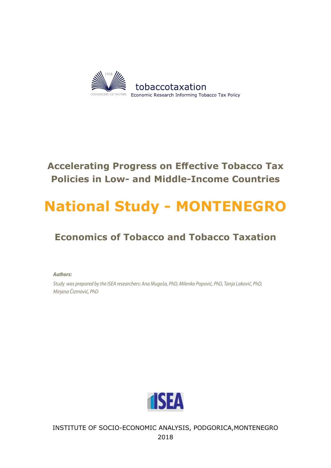

# **Accelerating Progress on Effective Tobacco Tax Policies in Low- and Middle-Income Countries**

# **National Study - MONTENEGRO**

# **Economics of Tobacco and Tobacco Taxation**

*Authors:*

*Study was prepared by the ISEA researchers: Ana Mugoša, PhD, Milenko Popović, PhD, Tanja Laković, PhD, Mirjana Čizmović, PhD*



INSTITUTE OF SOCIO-ECONOMIC ANALYSIS, PODGORICA,MONTENEGRO 2018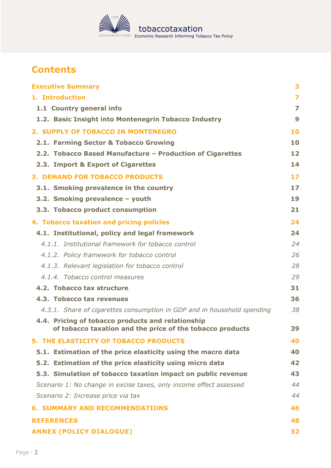

# **Contents**

| <b>Executive Summary</b>                                                                                       | 3                       |
|----------------------------------------------------------------------------------------------------------------|-------------------------|
| 1. Introduction                                                                                                | $\overline{\mathbf{z}}$ |
| 1.1 Country general info                                                                                       | $\overline{z}$          |
| 1.2. Basic Insight into Montenegrin Tobacco Industry                                                           | 9                       |
| 2. SUPPLY OF TOBACCO IN MONTENEGRO                                                                             | 10                      |
| 2.1. Farming Sector & Tobacco Growing                                                                          | 10                      |
| 2.2. Tobacco Based Manufacture - Production of Cigarettes                                                      | 12                      |
| 2.3. Import & Export of Cigarettes                                                                             | 14                      |
| <b>3. DEMAND FOR TOBACCO PRODUCTS</b>                                                                          | 17                      |
| 3.1. Smoking prevalence in the country                                                                         | 17                      |
| 3.2. Smoking prevalence - youth                                                                                | 19                      |
| 3.3. Tobacco product consumption                                                                               | 21                      |
| 4. Tobacco taxation and pricing policies                                                                       | 24                      |
| 4.1. Institutional, policy and legal framework                                                                 | 24                      |
| 4.1.1. Institutional framework for tobacco control                                                             | 24                      |
| 4.1.2. Policy framework for tobacco control                                                                    | 26                      |
| 4.1.3. Relevant legislation for tobacco control                                                                | 28                      |
| 4.1.4. Tobacco control measures                                                                                | 29                      |
| 4.2. Tobacco tax structure                                                                                     | 31                      |
| 4.3. Tobacco tax revenues                                                                                      | 36                      |
| 4.3.1. Share of cigarettes consumption in GDP and in household spending                                        | 38                      |
| 4.4. Pricing of tobacco products and relationship<br>of tobacco taxation and the price of the tobacco products | 39                      |
| <b>5. THE ELASTICITY OF TOBACCO PRODUCTS</b>                                                                   | 40                      |
| 5.1. Estimation of the price elasticity using the macro data                                                   | 40                      |
| 5.2. Estimation of the price elasticity using micro data                                                       | 42                      |
| 5.3. Simulation of tobacco taxation impact on public revenue                                                   | 43                      |
| Scenario 1: No change in excise taxes, only income effect assessed                                             | 44                      |
| Scenario 2: Increase price via tax                                                                             | 44                      |
| <b>6. SUMMARY AND RECOMMENDATIONS</b>                                                                          | 46                      |
| <b>REFERENCES</b>                                                                                              | 48                      |
| <b>ANNEX (POLICY DIALOGUE)</b>                                                                                 | 52                      |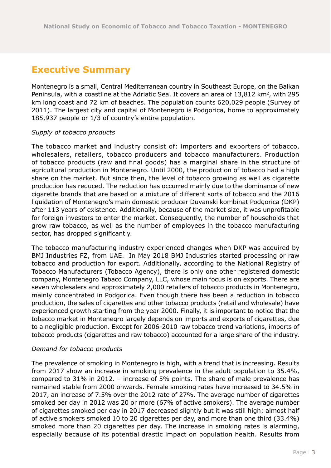# <span id="page-2-0"></span>**Executive Summary**

Montenegro is a small, Central Mediterranean country in Southeast Europe, on the Balkan Peninsula, with a coastline at the Adriatic Sea. It covers an area of  $13,812$  km<sup>2</sup>, with 295 km long coast and 72 km of beaches. The population counts 620,029 people (Survey of 2011). The largest city and capital of Montenegro is Podgorica, home to approximately 185,937 people or 1/3 of country's entire population.

#### *Supply of tobacco products*

The tobacco market and industry consist of: importers and exporters of tobacco, wholesalers, retailers, tobacco producers and tobacco manufacturers. Production of tobacco products (raw and final goods) has a marginal share in the structure of agricultural production in Montenegro. Until 2000, the production of tobacco had a high share on the market. But since then, the level of tobacco growing as well as cigarette production has reduced. The reduction has occurred mainly due to the dominance of new cigarette brands that are based on a mixture of different sorts of tobacco and the 2016 liquidation of Montenegro's main domestic producer Duvanski kombinat Podgorica (DKP) after 113 years of existence. Additionally, because of the market size, it was unprofitable for foreign investors to enter the market. Consequently, the number of households that grow raw tobacco, as well as the number of employees in the tobacco manufacturing sector, has dropped significantly.

The tobacco manufacturing industry experienced changes when DKP was acquired by BMJ Industries FZ, from UAE. In May 2018 BMJ Industries started processing or raw tobacco and production for export. Additionally, according to the National Registry of Tobacco Manufacturers (Tobacco Agency), there is only one other registered domestic company, Montenegro Tabaco Company, LLC, whose main focus is on exports. There are seven wholesalers and approximately 2,000 retailers of tobacco products in Montenegro, mainly concentrated in Podgorica. Even though there has been a reduction in tobacco production, the sales of cigarettes and other tobacco products (retail and wholesale) have experienced growth starting from the year 2000. Finally, it is important to notice that the tobacco market in Montenegro largely depends on imports and exports of cigarettes, due to a negligible production. Except for 2006-2010 raw tobacco trend variations, imports of tobacco products (cigarettes and raw tobacco) accounted for a large share of the industry.

#### *Demand for tobacco products*

The prevalence of smoking in Montenegro is high, with a trend that is increasing. Results from 2017 show an increase in smoking prevalence in the adult population to 35.4%, compared to 31% in 2012. – increase of 5% points. The share of male prevalence has remained stable from 2000 onwards. Female smoking rates have increased to 34.5% in 2017, an increase of 7.5% over the 2012 rate of 27%. The average number of cigarettes smoked per day in 2012 was 20 or more (67% of active smokers). The average number of cigarettes smoked per day in 2017 decreased slightly but it was still high: almost half of active smokers smoked 10 to 20 cigarettes per day, and more than one third (33.4%) smoked more than 20 cigarettes per day. The increase in smoking rates is alarming, especially because of its potential drastic impact on population health. Results from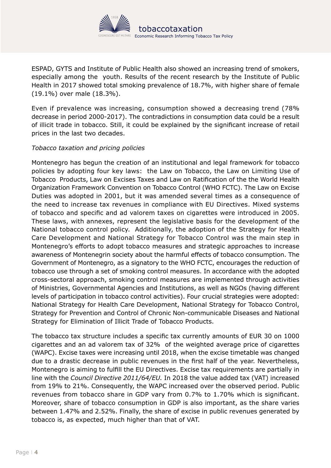

ESPAD, GYTS and Institute of Public Health also showed an increasing trend of smokers, especially among the youth. Results of the recent research by the Institute of Public Health in 2017 showed total smoking prevalence of 18.7%, with higher share of female (19.1%) over male (18.3%).

Even if prevalence was increasing, consumption showed a decreasing trend (78% decrease in period 2000-2017). The contradictions in consumption data could be a result of illicit trade in tobacco. Still, it could be explained by the significant increase of retail prices in the last two decades.

#### *Tobacco taxation and pricing policies*

Montenegro has begun the creation of an institutional and legal framework for tobacco policies by adopting four key laws: the Law on Tobacco, the Law on Limiting Use of Tobacco Products, Law on Excises Taxes and Law on Ratification of the the World Health Organization Framework Convention on Tobacco Control (WHO FCTC). The Law on Excise Duties was adopted in 2001, but it was amended several times as a consequence of the need to increase tax revenues in compliance with EU Directives. Mixed systems of tobacco and specific and ad valorem taxes on cigarettes were introduced in 2005. These laws, with annexes, represent the legislative basis for the development of the National tobacco control policy. Additionally, the adoption of the Strategy for Health Care Development and National Strategy for Tobacco Control was the main step in Montenegro's efforts to adopt tobacco measures and strategic approaches to increase awareness of Montenegrin society about the harmful effects of tobacco consumption. The Government of Montenegro, as a signatory to the WHO FCTC, encourages the reduction of tobacco use through a set of smoking control measures. In accordance with the adopted cross-sectoral approach, smoking control measures are implemented through activities of Ministries, Governmental Agencies and Institutions, as well as NGOs (having different levels of participation in tobacco control activities). Four crucial strategies were adopted: National Strategy for Health Care Development, National Strategy for Tobacco Control, Strategy for Prevention and Control of Chronic Non-communicable Diseases and National Strategy for Elimination of Illicit Trade of Tobacco Products.

The tobacco tax structure includes a specific tax currently amounts of EUR 30 on 1000 cigarettes and an ad valorem tax of 32% of the weighted average price of cigarettes (WAPC). Excise taxes were increasing until 2018, when the excise timetable was changed due to a drastic decrease in public revenues in the first half of the year. Nevertheless, Montenegro is aiming to fulfill the EU Directives. Excise tax requirements are partially in line with the *Council Directive 2011/64/EU.* In 2018 the value added tax (VAT) increased from 19% to 21%. Consequently, the WAPC increased over the observed period. Public revenues from tobacco share in GDP vary from 0.7% to 1.70% which is significant. Moreover, share of tobacco consumption in GDP is also important, as the share varies between 1.47% and 2.52%. Finally, the share of excise in public revenues generated by tobacco is, as expected, much higher than that of VAT.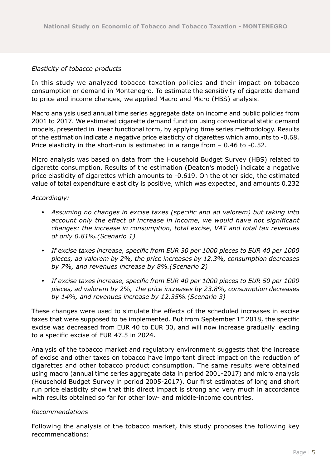#### *Elasticity of tobacco products*

In this study we analyzed tobacco taxation policies and their impact on tobacco consumption or demand in Montenegro. To estimate the sensitivity of cigarette demand to price and income changes, we applied Macro and Micro (HBS) analysis.

Macro analysis used annual time series aggregate data on income and public policies from 2001 to 2017. We estimated cigarette demand function using conventional static demand models, presented in linear functional form, by applying time series methodology. Results of the estimation indicate a negative price elasticity of cigarettes which amounts to -0.68. Price elasticity in the short-run is estimated in a range from – 0.46 to -0.52.

Micro analysis was based on data from the Household Budget Survey (HBS) related to cigarette consumption. Results of the estimation (Deaton's model) indicate a negative price elasticity of cigarettes which amounts to -0.619. On the other side, the estimated value of total expenditure elasticity is positive, which was expected, and amounts 0.232

#### *Accordingly:*

- y *Assuming no changes in excise taxes (specific and ad valorem) but taking into account only the effect of increase in income, we would have not significant changes: the increase in consumption, total excise, VAT and total tax revenues of only 0.81%.(Scenario 1)*
- y *If excise taxes increase, specific from EUR 30 per 1000 pieces to EUR 40 per 1000 pieces, ad valorem by 2%, the price increases by 12.3%, consumption decreases by 7%, and revenues increase by 8%.(Scenario 2)*
- y *If excise taxes increase, specific from EUR 40 per 1000 pieces to EUR 50 per 1000 pieces, ad valorem by 2%, the price increases by 23.8%, consumption decreases by 14%, and revenues increase by 12.35%.(Scenario 3)*

These changes were used to simulate the effects of the scheduled increases in excise taxes that were supposed to be implemented. But from September  $1<sup>st</sup>$  2018, the specific excise was decreased from EUR 40 to EUR 30, and will now increase gradually leading to a specific excise of EUR 47.5 in 2024.

Analysis of the tobacco market and regulatory environment suggests that the increase of excise and other taxes on tobacco have important direct impact on the reduction of cigarettes and other tobacco product consumption. The same results were obtained using macro (annual time series aggregate data in period 2001-2017) and micro analysis (Household Budget Survey in period 2005-2017). Our first estimates of long and short run price elasticity show that this direct impact is strong and very much in accordance with results obtained so far for other low- and middle-income countries.

#### *Recommendations*

Following the analysis of the tobacco market, this study proposes the following key recommendations: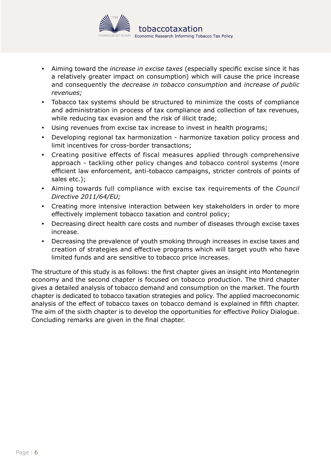

- Aiming toward the *increase in excise taxes* (especially specific excise since it has a relatively greater impact on consumption) which will cause the price increase and consequently the *decrease in tobacco consumption* and *increase of public revenues;*
- Tobacco tax systems should be structured to minimize the costs of compliance and administration in process of tax compliance and collection of tax revenues, while reducing tax evasion and the risk of illicit trade;
- Using revenues from excise tax increase to invest in health programs;
- Developing regional tax harmonization harmonize taxation policy process and limit incentives for cross-border transactions;
- Creating positive effects of fiscal measures applied through comprehensive approach - tackling other policy changes and tobacco control systems (more efficient law enforcement, anti-tobacco campaigns, stricter controls of points of sales etc.);
- y Aiming towards full compliance with excise tax requirements of the *Council Directive 2011/64/EU;*
- Creating more intensive interaction between key stakeholders in order to more effectively implement tobacco taxation and control policy;
- Decreasing direct health care costs and number of diseases through excise taxes increase.
- Decreasing the prevalence of youth smoking through increases in excise taxes and creation of strategies and effective programs which will target youth who have limited funds and are sensitive to tobacco price increases.

The structure of this study is as follows: the first chapter gives an insight into Montenegrin economy and the second chapter is focused on tobacco production. The third chapter gives a detailed analysis of tobacco demand and consumption on the market. The fourth chapter is dedicated to tobacco taxation strategies and policy. The applied macroeconomic analysis of the effect of tobacco taxes on tobacco demand is explained in fifth chapter. The aim of the sixth chapter is to develop the opportunities for effective Policy Dialogue. Concluding remarks are given in the final chapter.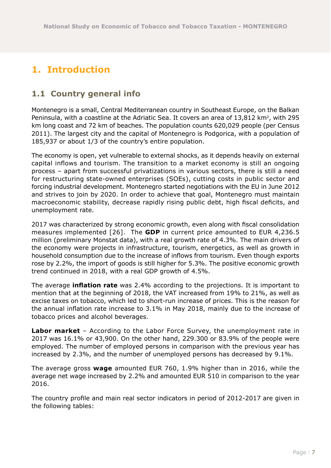# <span id="page-6-0"></span>**1. Introduction**

### **1.1 Country general info**

Montenegro is a small, Central Mediterranean country in Southeast Europe, on the Balkan Peninsula, with a coastline at the Adriatic Sea. It covers an area of 13,812 km<sup>2</sup>, with 295 km long coast and 72 km of beaches. The population counts 620,029 people (per Census 2011). The largest city and the capital of Montenegro is Podgorica, with a population of 185,937 or about 1/3 of the country's entire population.

The economy is open, yet vulnerable to external shocks, as it depends heavily on external capital inflows and tourism. The transition to a market economy is still an ongoing process – apart from successful privatizations in various sectors, there is still a need for restructuring state-owned enterprises (SOEs), cutting costs in public sector and forcing industrial development. Montenegro started negotiations with the EU in June 2012 and strives to join by 2020. In order to achieve that goal, Montenegro must maintain macroeconomic stability, decrease rapidly rising public debt, high fiscal deficits, and unemployment rate.

2017 was characterized by strong economic growth, even along with fiscal consolidation measures implemented [26]. The **GDP** in current price amounted to EUR 4,236.5 million (preliminary Monstat data), with a real growth rate of 4.3%. The main drivers of the economy were projects in infrastructure, tourism, energetics, as well as growth in household consumption due to the increase of inflows from tourism. Even though exports rose by 2.2%, the import of goods is still higher for 5.3%. The positive economic growth trend continued in 2018, with a real GDP growth of 4.5%.

The average **inflation rate** was 2.4% according to the projections. It is important to mention that at the beginning of 2018, the VAT increased from 19% to 21%, as well as excise taxes on tobacco, which led to short-run increase of prices. This is the reason for the annual inflation rate increase to 3.1% in May 2018, mainly due to the increase of tobacco prices and alcohol beverages.

**Labor market** – According to the Labor Force Survey, the unemployment rate in 2017 was 16.1% or 43,900. On the other hand, 229.300 or 83.9% of the people were employed. The number of employed persons in comparison with the previous year has increased by 2.3%, and the number of unemployed persons has decreased by 9.1%.

The average gross **wage** amounted EUR 760, 1.9% higher than in 2016, while the average net wage increased by 2.2% and amounted EUR 510 in comparison to the year 2016.

The country profile and main real sector indicators in period of 2012-2017 are given in the following tables: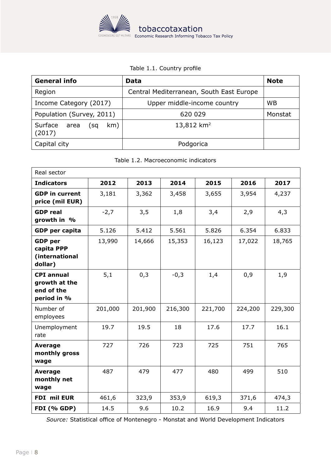

#### Table 1.1. Country profile

| <b>General info</b>                                         | Data                                     | <b>Note</b> |
|-------------------------------------------------------------|------------------------------------------|-------------|
| Region                                                      | Central Mediterranean, South East Europe |             |
| Income Category (2017)                                      | Upper middle-income country              | <b>WB</b>   |
| Population (Survey, 2011)                                   | 620 029                                  | Monstat     |
| 13,812 km <sup>2</sup><br>Surface area (sq<br>km)<br>(2017) |                                          |             |
| Capital city                                                | Podgorica                                |             |

|  | Table 1.2. Macroeconomic indicators |  |
|--|-------------------------------------|--|
|--|-------------------------------------|--|

| Real sector                                                     |         |         |         |         |         |         |  |
|-----------------------------------------------------------------|---------|---------|---------|---------|---------|---------|--|
| <b>Indicators</b>                                               | 2012    | 2013    | 2014    | 2015    | 2016    | 2017    |  |
| <b>GDP</b> in current<br>price (mil EUR)                        | 3,181   | 3,362   | 3,458   | 3,655   | 3,954   | 4,237   |  |
| <b>GDP</b> real<br>growth in %                                  | $-2,7$  | 3,5     | 1,8     | 3,4     | 2,9     | 4,3     |  |
| <b>GDP</b> per capita                                           | 5.126   | 5.412   | 5.561   | 5.826   | 6.354   | 6.833   |  |
| <b>GDP</b> per<br>capita PPP<br>(international<br>dollar)       | 13,990  | 14,666  | 15,353  | 16,123  | 17,022  | 18,765  |  |
| <b>CPI annual</b><br>growth at the<br>end of the<br>period in % | 5,1     | 0,3     | $-0,3$  | 1,4     | 0,9     | 1,9     |  |
| Number of<br>employees                                          | 201,000 | 201,900 | 216,300 | 221,700 | 224,200 | 229,300 |  |
| Unemployment<br>rate                                            | 19.7    | 19.5    | 18      | 17.6    | 17.7    | 16.1    |  |
| <b>Average</b><br>monthly gross<br>wage                         | 727     | 726     | 723     | 725     | 751     | 765     |  |
| <b>Average</b><br>monthly net<br>wage                           | 487     | 479     | 477     | 480     | 499     | 510     |  |
| FDI mil EUR                                                     | 461,6   | 323,9   | 353,9   | 619,3   | 371,6   | 474,3   |  |
| <b>FDI (% GDP)</b>                                              | 14.5    | 9.6     | 10.2    | 16.9    | 9.4     | 11.2    |  |

*Source:* Statistical office of Montenegro - Monstat and World Development Indicators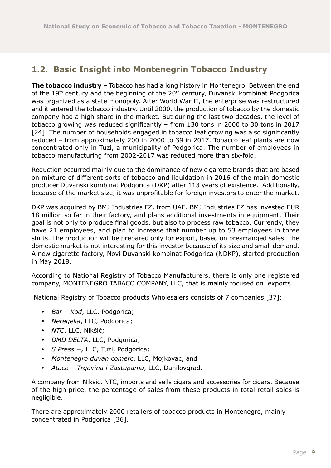### <span id="page-8-0"></span>**1.2. Basic Insight into Montenegrin Tobacco Industry**

**The tobacco industry** – Tobacco has had a long history in Montenegro. Between the end of the 19<sup>th</sup> century and the beginning of the 20<sup>th</sup> century, Duvanski kombinat Podgorica was organized as a state monopoly. After World War II, the enterprise was restructured and it entered the tobacco industry. Until 2000, the production of tobacco by the domestic company had a high share in the market. But during the last two decades, the level of tobacco growing was reduced significantly – from 130 tons in 2000 to 30 tons in 2017 [24]. The number of households engaged in tobacco leaf growing was also significantly reduced – from approximately 200 in 2000 to 39 in 2017. Tobacco leaf plants are now concentrated only in Tuzi, a municipality of Podgorica. The number of employees in tobacco manufacturing from 2002-2017 was reduced more than six-fold.

Reduction occurred mainly due to the dominance of new cigarette brands that are based on mixture of different sorts of tobacco and liquidation in 2016 of the main domestic producer Duvanski kombinat Podgorica (DKP) after 113 years of existence. Additionally, because of the market size, it was unprofitable for foreign investors to enter the market.

DKP was acquired by BMJ Industries FZ, from UAE. BMJ Industries FZ has invested EUR 18 million so far in their factory, and plans additional investments in equipment. Their goal is not only to produce final goods, but also to process raw tobacco. Currently, they have 21 employees, and plan to increase that number up to 53 employees in three shifts. The production will be prepared only for export, based on prearranged sales. The domestic market is not interesting for this investor because of its size and small demand. A new cigarette factory, Novi Duvanski kombinat Podgorica (NDKP), started production in May 2018.

According to National Registry of Tobacco Manufacturers, there is only one registered company, MONTENEGRO TABACO COMPANY, LLC, that is mainly focused on exports.

National Registry of Tobacco products Wholesalers consists of 7 companies [37]:

- y *Bar Kod*, LLC, Podgorica;
- y *Neregelia*, LLC, Podgorica;
- y *NTC*, LLC, Nikšić;
- *DMD DELTA*, LLC, Podgorica;
- y *S Press +,* LLC, Tuzi, Podgorica;
- y *Montenegro duvan comerc*, LLC, Mojkovac, and
- y *Ataco Trgovina i Zastupanja*, LLC, Danilovgrad.

A company from Niksic, NTC, imports and sells cigars and accessories for cigars. Because of the high price, the percentage of sales from these products in total retail sales is negligible.

There are approximately 2000 retailers of tobacco products in Montenegro, mainly concentrated in Podgorica [36].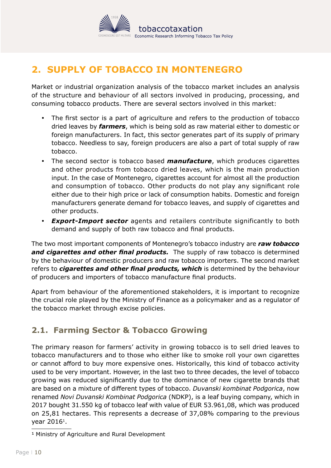

# <span id="page-9-0"></span>**2. SUPPLY OF TOBACCO IN MONTENEGRO**

Market or industrial organization analysis of the tobacco market includes an analysis of the structure and behaviour of all sectors involved in producing, processing, and consuming tobacco products. There are several sectors involved in this market:

- The first sector is a part of agriculture and refers to the production of tobacco dried leaves by *farmers*, which is being sold as raw material either to domestic or foreign manufacturers. In fact, this sector generates part of its supply of primary tobacco. Needless to say, foreign producers are also a part of total supply of raw tobacco.
- The second sector is tobacco based **manufacture**, which produces cigarettes and other products from tobacco dried leaves, which is the main production input. In the case of Montenegro, cigarettes account for almost all the production and consumption of tobacco. Other products do not play any significant role either due to their high price or lack of consumption habits. Domestic and foreign manufacturers generate demand for tobacco leaves, and supply of cigarettes and other products.
- **Export-Import sector** agents and retailers contribute significantly to both demand and supply of both raw tobacco and final products.

The two most important components of Montenegro's tobacco industry are *raw tobacco and cigarettes and other final products.* The supply of raw tobacco is determined by the behaviour of domestic producers and raw tobacco importers. The second market refers to *cigarettes and other final products, which* is determined by the behaviour of producers and importers of tobacco manufacture final products.

Apart from behaviour of the aforementioned stakeholders, it is important to recognize the crucial role played by the Ministry of Finance as a policymaker and as a regulator of the tobacco market through excise policies.

### **2.1. Farming Sector & Tobacco Growing**

The primary reason for farmers' activity in growing tobacco is to sell dried leaves to tobacco manufacturers and to those who either like to smoke roll your own cigarettes or cannot afford to buy more expensive ones. Historically, this kind of tobacco activity used to be very important. However, in the last two to three decades, the level of tobacco growing was reduced significantly due to the dominance of new cigarette brands that are based on a mixture of different types of tobacco. *Duvanski kombinat Podgorica*, now renamed *Novi Duvanski Kombinat Podgorica* (NDKP), is a leaf buying company, which in 2017 bought 31.550 kg of tobacco leaf with value of EUR 53.961,08, which was produced on 25,81 hectares. This represents a decrease of 37,08% comparing to the previous year 2016<sup>1</sup>.

<sup>1</sup> Ministry of Agriculture and Rural Development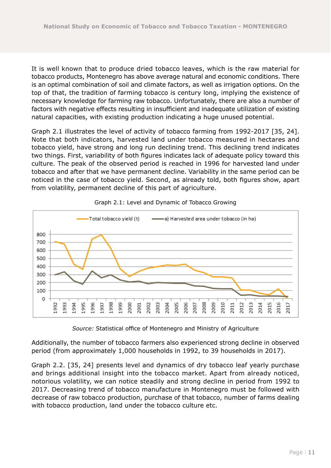It is well known that to produce dried tobacco leaves, which is the raw material for tobacco products, Montenegro has above average natural and economic conditions. There is an optimal combination of soil and climate factors, as well as irrigation options. On the top of that, the tradition of farming tobacco is century long, implying the existence of necessary knowledge for farming raw tobacco. Unfortunately, there are also a number of factors with negative effects resulting in insufficient and inadequate utilization of existing natural capacities, with existing production indicating a huge unused potential.

Graph 2.1 illustrates the level of activity of tobacco farming from 1992-2017 [35, 24]. Note that both indicators, harvested land under tobacco measured in hectares and tobacco yield, have strong and long run declining trend. This declining trend indicates two things. First, variability of both figures indicates lack of adequate policy toward this culture. The peak of the observed period is reached in 1996 for harvested land under tobacco and after that we have permanent decline. Variability in the same period can be noticed in the case of tobacco yield. Second, as already told, both figures show, apart from volatility, permanent decline of this part of agriculture.





*Source:* Statistical office of Montenegro and Ministry of Agriculture

Additionally, the number of tobacco farmers also experienced strong decline in observed period (from approximately 1,000 households in 1992, to 39 households in 2017).

Graph 2.2. [35, 24] presents level and dynamics of dry tobacco leaf yearly purchase and brings additional insight into the tobacco market. Apart from already noticed, notorious volatility, we can notice steadily and strong decline in period from 1992 to 2017. Decreasing trend of tobacco manufacture in Montenegro must be followed with decrease of raw tobacco production, purchase of that tobacco, number of farms dealing with tobacco production, land under the tobacco culture etc.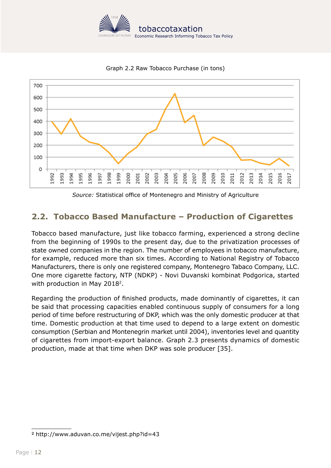

Graph 2.2 Raw Tobacco Purchase (in tons)

<span id="page-11-0"></span>

*Source:* Statistical office of Montenegro and Ministry of Agriculture

# **2.2. Tobacco Based Manufacture – Production of Cigarettes**

Tobacco based manufacture, just like tobacco farming, experienced a strong decline from the beginning of 1990s to the present day, due to the privatization processes of state owned companies in the region. The number of employees in tobacco manufacture, for example, reduced more than six times. According to National Registry of Tobacco Manufacturers, there is only one registered company, Montenegro Tabaco Company, LLC. One more cigarette factory, NTP (NDKP) - Novi Duvanski kombinat Podgorica, started with production in May 2018<sup>2</sup>.

Regarding the production of finished products, made dominantly of cigarettes, it can be said that processing capacities enabled continuous supply of consumers for a long period of time before restructuring of DKP, which was the only domestic producer at that time. Domestic production at that time used to depend to a large extent on domestic consumption (Serbian and Montenegrin market until 2004), inventories level and quantity of cigarettes from import-export balance. Graph 2.3 presents dynamics of domestic production, made at that time when DKP was sole producer [35].

<sup>2</sup> <http://www.aduvan.co.me/vijest.php?id=43>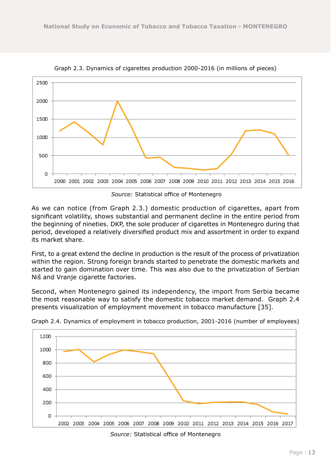

Graph 2.3. Dynamics of cigarettes production 2000-2016 (in millions of pieces)

 *Source:* Statistical office of Montenegro

As we can notice (from Graph 2.3.) domestic production of cigarettes, apart from significant volatility, shows substantial and permanent decline in the entire period from the beginning of nineties. DKP, the sole producer of cigarettes in Montenegro during that period, developed a relatively diversified product mix and assortment in order to expand its market share.

First, to a great extend the decline in production is the result of the process of privatization within the region. Strong foreign brands started to penetrate the domestic markets and started to gain domination over time. This was also due to the privatization of Serbian Niš and Vranje cigarette factories.

Second, when Montenegro gained its independency, the import from Serbia became the most reasonable way to satisfy the domestic tobacco market demand. Graph 2.4 presents visualization of employment movement in tobacco manufacture [35].



Graph 2.4. Dynamics of employment in tobacco production, 2001-2016 (number of employees)

*Source:* Statistical office of Montenegro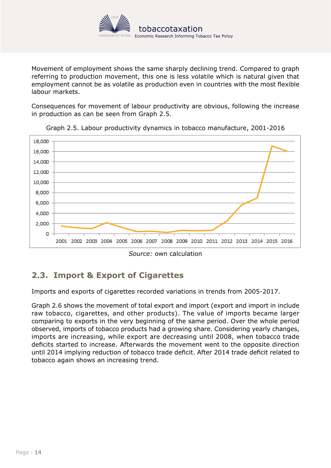

<span id="page-13-0"></span>Movement of employment shows the same sharply declining trend. Compared to graph referring to production movement, this one is less volatile which is natural given that employment cannot be as volatile as production even in countries with the most flexible labour markets.

Consequences for movement of labour productivity are obvious, following the increase in production as can be seen from Graph 2.5.



Graph 2.5. Labour productivity dynamics in tobacco manufacture, 2001-2016

# **2.3. Import & Export of Cigarettes**

Imports and exports of cigarettes recorded variations in trends from 2005-2017.

Graph 2.6 shows the movement of total export and import (export and import in include raw tobacco, cigarettes, and other products). The value of imports became larger comparing to exports in the very beginning of the same period. Over the whole period observed, imports of tobacco products had a growing share. Considering yearly changes, imports are increasing, while export are decreasing until 2008, when tobacco trade deficits started to increase. Afterwards the movement went to the opposite direction until 2014 implying reduction of tobacco trade deficit. After 2014 trade deficit related to tobacco again shows an increasing trend.

*Source:* own calculation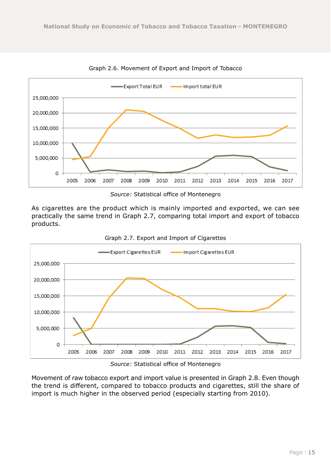

Graph 2.6. Movement of Export and Import of Tobacco

*Source:* Statistical office of Montenegro

As cigarettes are the product which is mainly imported and exported, we can see practically the same trend in Graph 2.7, comparing total import and export of tobacco products.





*Source:* Statistical office of Montenegro

Movement of raw tobacco export and import value is presented in Graph 2.8. Even though the trend is different, compared to tobacco products and cigarettes, still the share of import is much higher in the observed period (especially starting from 2010).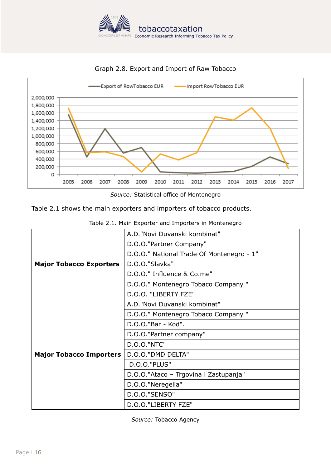



Graph 2.8. Export and Import of Raw Tobacco

*Source:* Statistical office of Montenegro

Table 2.1 shows the main exporters and importers of tobacco products.

|                                | A.D."Novi Duvanski kombinat"              |  |  |  |
|--------------------------------|-------------------------------------------|--|--|--|
|                                | D.O.O."Partner Company"                   |  |  |  |
|                                | D.O.O." National Trade Of Montenegro - 1" |  |  |  |
| <b>Major Tobacco Exporters</b> | D.O.O."Slavka"                            |  |  |  |
|                                | D.O.O." Influence & Co.me"                |  |  |  |
|                                | D.O.O." Montenegro Tobaco Company "       |  |  |  |
|                                | D.O.O. "LIBERTY FZE"                      |  |  |  |
|                                | A.D."Novi Duvanski kombinat"              |  |  |  |
|                                | D.O.O." Montenegro Tobaco Company "       |  |  |  |
|                                | D.O.O."Bar - Kod".                        |  |  |  |
|                                | D.O.O."Partner company"                   |  |  |  |
|                                | <b>D.O.O."NTC"</b>                        |  |  |  |
| <b>Major Tobacco Importers</b> | D.O.O."DMD DELTA"                         |  |  |  |
|                                | <b>D.O.O."PLUS"</b>                       |  |  |  |
|                                | D.O.O."Ataco - Trgovina i Zastupanja"     |  |  |  |
|                                | D.O.O."Neregelia"                         |  |  |  |
|                                | <b>D.O.O."SENSO"</b>                      |  |  |  |
|                                | D.O.O."LIBERTY FZE"                       |  |  |  |

Table 2.1. Main Exporter and Importers in Montenegro

*Source:* Tobacco Agency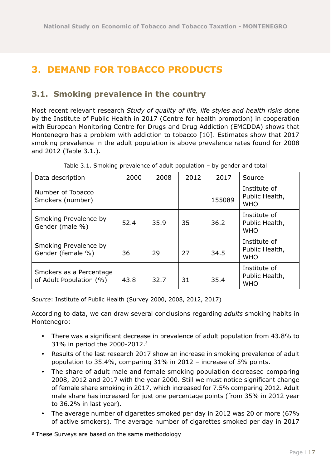# <span id="page-16-0"></span>**3. DEMAND FOR TOBACCO PRODUCTS**

### **3.1. Smoking prevalence in the country**

Most recent relevant research *Study of quality of life, life styles and health risks* done by the Institute of Public Health in 2017 (Centre for health promotion) in cooperation with European Monitoring Centre for Drugs and Drug Addiction (EMCDDA) shows that Montenegro has a problem with addiction to tobacco [10]. Estimates show that 2017 smoking prevalence in the adult population is above prevalence rates found for 2008 and 2012 (Table 3.1.).

| Data description                                   | 2000 | 2008 | 2012 | 2017   | Source                                       |
|----------------------------------------------------|------|------|------|--------|----------------------------------------------|
| Number of Tobacco<br>Smokers (number)              |      |      |      | 155089 | Institute of<br>Public Health,<br><b>WHO</b> |
| Smoking Prevalence by<br>Gender (male %)           | 52.4 | 35.9 | 35   | 36.2   | Institute of<br>Public Health,<br><b>WHO</b> |
| Smoking Prevalence by<br>Gender (female %)         | 36   | 29   | 27   | 34.5   | Institute of<br>Public Health,<br><b>WHO</b> |
| Smokers as a Percentage<br>of Adult Population (%) | 43.8 | 32.7 | 31   | 35.4   | Institute of<br>Public Health,<br><b>WHO</b> |

Table 3.1. Smoking prevalence of adult population – by gender and total

*Source*: Institute of Public Health (Survey 2000, 2008, 2012, 2017)

According to data, we can draw several conclusions regarding *adults* smoking habits in Montenegro:

- There was a significant decrease in prevalence of adult population from 43.8% to 31% in period the 2000-2012.3
- Results of the last research 2017 show an increase in smoking prevalence of adult population to 35.4%, comparing 31% in 2012 – increase of 5% points.
- The share of adult male and female smoking population decreased comparing 2008, 2012 and 2017 with the year 2000. Still we must notice significant change of female share smoking in 2017, which increased for 7.5% comparing 2012. Adult male share has increased for just one percentage points (from 35% in 2012 year to 36.2% in last year).
- The average number of cigarettes smoked per day in 2012 was 20 or more (67% of active smokers). The average number of cigarettes smoked per day in 2017

<sup>&</sup>lt;sup>3</sup> These Surveys are based on the same methodology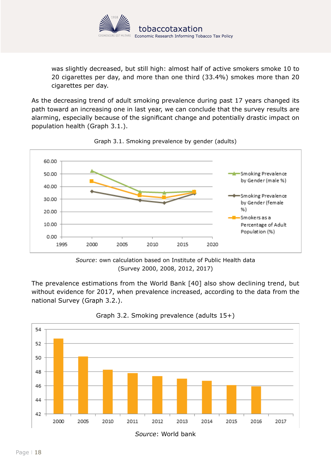

was slightly decreased, but still high: almost half of active smokers smoke 10 to 20 cigarettes per day, and more than one third (33.4%) smokes more than 20 cigarettes per day.

As the decreasing trend of adult smoking prevalence during past 17 years changed its path toward an increasing one in last year, we can conclude that the survey results are alarming, especially because of the significant change and potentially drastic impact on population health (Graph 3.1.).



Graph 3.1. Smoking prevalence by gender (adults)

The prevalence estimations from the World Bank [40] also show declining trend, but without evidence for 2017, when prevalence increased, according to the data from the national Survey (Graph 3.2.).





*Source*: own calculation based on Institute of Public Health data (Survey 2000, 2008, 2012, 2017)

*Source*: World bank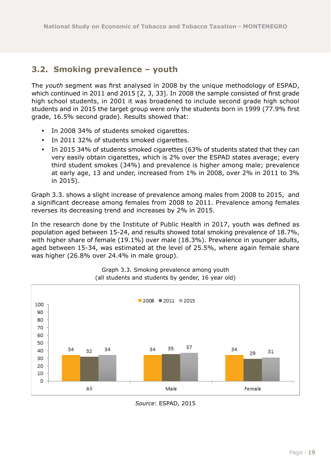### <span id="page-18-0"></span>**3.2. Smoking prevalence – youth**

The *youth* segment was first analysed in 2008 by the unique methodology of ESPAD, which continued in 2011 and 2015 [2, 3, 33]. In 2008 the sample consisted of first grade high school students, in 2001 it was broadened to include second grade high school students and in 2015 the target group were only the students born in 1999 (77.9% first grade, 16.5% second grade). Results showed that:

- In 2008 34% of students smoked cigarettes.
- In 2011 32% of students smoked cigarettes.
- In 2015 34% of students smoked cigarettes (63% of students stated that they can very easily obtain cigarettes, which is 2% over the ESPAD states average; every third student smokes (34%) and prevalence is higher among male; prevalence at early age, 13 and under, increased from 1% in 2008, over 2% in 2011 to 3% in 2015).

Graph 3.3. shows a slight increase of prevalence among males from 2008 to 2015, and a significant decrease among females from 2008 to 2011. Prevalence among females reverses its decreasing trend and increases by 2% in 2015.

In the research done by the Institute of Public Health in 2017, youth was defined as population aged between 15-24, and results showed total smoking prevalence of 18.7%, with higher share of female (19.1%) over male (18.3%). Prevalence in younger adults, aged between 15-34, was estimated at the level of 25.5%, where again female share was higher (26.8% over 24.4% in male group).



Graph 3.3. Smoking prevalence among youth (all students and students by gender, 16 year old)

*Source*: ESPAD, 2015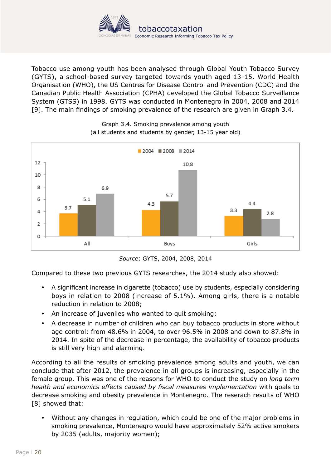

Tobacco use among youth has been analysed through Global Youth Tobacco Survey (GYTS), a school-based survey targeted towards youth aged 13-15. World Health Organisation (WHO), the US Centres for Disease Control and Prevention (CDC) and the Canadian Public Health Association (CPHA) developed the Global Tobacco Surveillance System (GTSS) in 1998. GYTS was conducted in Montenegro in 2004, 2008 and 2014 [9]. The main findings of smoking prevalence of the research are given in Graph 3.4.



Graph 3.4. Smoking prevalence among youth (all students and students by gender, 13-15 year old)

*Source*: GYTS, 2004, 2008, 2014

Compared to these two previous GYTS researches, the 2014 study also showed:

- A significant increase in cigarette (tobacco) use by students, especially considering boys in relation to 2008 (increase of 5.1%). Among girls, there is a notable reduction in relation to 2008;
- An increase of juveniles who wanted to quit smoking;
- A decrease in number of children who can buy tobacco products in store without age control: from 48.6% in 2004, to over 96.5% in 2008 and down to 87.8% in 2014. In spite of the decrease in percentage, the availability of tobacco products is still very high and alarming.

According to all the results of smoking prevalence among adults and youth, we can conclude that after 2012, the prevalence in all groups is increasing, especially in the female group. This was one of the reasons for WHO to conduct the study on *long term health and economics effects caused by fiscal measures implementation* with goals to decrease smoking and obesity prevalence in Montenegro. The reserach results of WHO [8] showed that:

y Without any changes in regulation, which could be one of the major problems in smoking prevalence, Montenegro would have approximately 52% active smokers by 2035 (adults, majority women);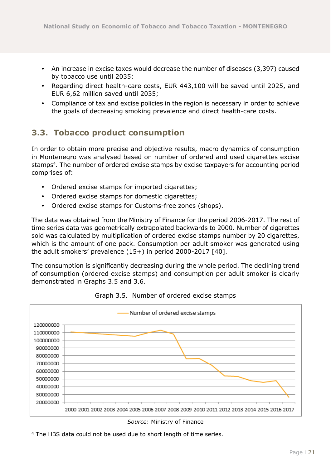- <span id="page-20-0"></span>• An increase in excise taxes would decrease the number of diseases (3,397) caused by tobacco use until 2035;
- Regarding direct health-care costs, EUR 443,100 will be saved until 2025, and EUR 6,62 million saved until 2035;
- Compliance of tax and excise policies in the region is necessary in order to achieve the goals of decreasing smoking prevalence and direct health-care costs.

### **3.3. Tobacco product consumption**

In order to obtain more precise and objective results, macro dynamics of consumption in Montenegro was analysed based on number of ordered and used cigarettes excise stamps<sup>4</sup>. The number of ordered excise stamps by excise taxpayers for accounting period comprises of:

- Ordered excise stamps for imported cigarettes;
- Ordered excise stamps for domestic cigarettes;
- Ordered excise stamps for Customs-free zones (shops).

The data was obtained from the Ministry of Finance for the period 2006-2017. The rest of time series data was geometrically extrapolated backwards to 2000. Number of cigarettes sold was calculated by multiplication of ordered excise stamps number by 20 cigarettes, which is the amount of one pack. Consumption per adult smoker was generated using the adult smokers' prevalence (15+) in period 2000-2017 [40].

The consumption is significantly decreasing during the whole period. The declining trend of consumption (ordered excise stamps) and consumption per adult smoker is clearly demonstrated in Graphs 3.5 and 3.6.



Graph 3.5. Number of ordered excise stamps

*Source*: Ministry of Finance

<sup>4</sup> The HBS data could not be used due to short length of time series.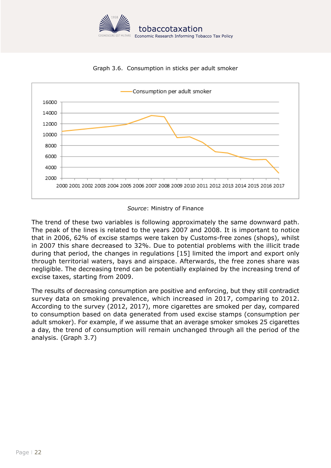

Graph 3.6. Consumption in sticks per adult smoker



*Source*: Ministry of Finance

The trend of these two variables is following approximately the same downward path. The peak of the lines is related to the years 2007 and 2008. It is important to notice that in 2006, 62% of excise stamps were taken by Customs-free zones (shops), whilst in 2007 this share decreased to 32%. Due to potential problems with the illicit trade during that period, the changes in regulations [15] limited the import and export only through territorial waters, bays and airspace. Afterwards, the free zones share was negligible. The decreasing trend can be potentially explained by the increasing trend of excise taxes, starting from 2009.

The results of decreasing consumption are positive and enforcing, but they still contradict survey data on smoking prevalence, which increased in 2017, comparing to 2012. According to the survey (2012, 2017), more cigarettes are smoked per day, compared to consumption based on data generated from used excise stamps (consumption per adult smoker). For example, if we assume that an average smoker smokes 25 cigarettes a day, the trend of consumption will remain unchanged through all the period of the analysis. (Graph 3.7)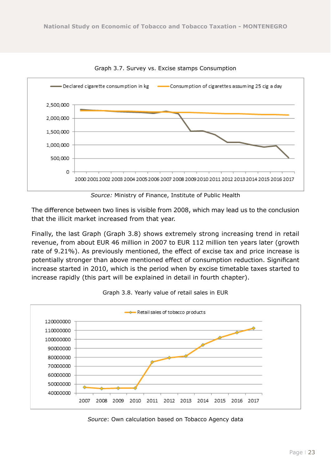

Graph 3.7. Survey vs. Excise stamps Consumption

*Source:* Ministry of Finance, Institute of Public Health

The difference between two lines is visible from 2008, which may lead us to the conclusion that the illicit market increased from that year.

Finally, the last Graph (Graph 3.8) shows extremely strong increasing trend in retail revenue, from about EUR 46 million in 2007 to EUR 112 million ten years later (growth rate of 9.21%). As previously mentioned, the effect of excise tax and price increase is potentially stronger than above mentioned effect of consumption reduction. Significant increase started in 2010, which is the period when by excise timetable taxes started to increase rapidly (this part will be explained in detail in fourth chapter).



Graph 3.8. Yearly value of retail sales in EUR

*Source*: Own calculation based on Tobacco Agency data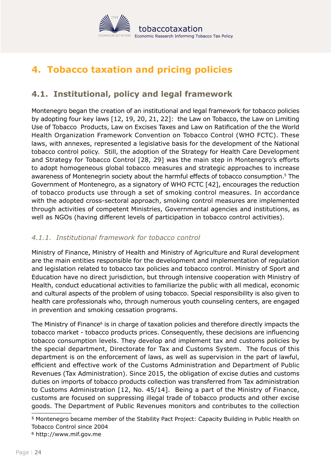

# <span id="page-23-0"></span>**4. Tobacco taxation and pricing policies**

## **4.1. Institutional, policy and legal framework**

Montenegro began the creation of an institutional and legal framework for tobacco policies by adopting four key laws [12, 19, 20, 21, 22]: the Law on Tobacco, the Law on Limiting Use of Tobacco Products, Law on Excises Taxes and Law on Ratification of the the World Health Organization Framework Convention on Tobacco Control (WHO FCTC). These laws, with annexes, represented a legislative basis for the development of the National tobacco control policy. Still, the adoption of the Strategy for Health Care Development and Strategy for Tobacco Control [28, 29] was the main step in Montenegro's efforts to adopt homogeneous global tobacco measures and strategic approaches to increase awareness of Montenegrin society about the harmful effects of tobacco consumption.5 The Government of Montenegro, as a signatory of WHO FCTC [42], encourages the reduction of tobacco products use through a set of smoking control measures. In accordance with the adopted cross-sectoral approach, smoking control measures are implemented through activities of competent Ministries, Governmental agencies and institutions, as well as NGOs (having different levels of participation in tobacco control activities).

#### *4.1.1. Institutional framework for tobacco control*

Ministry of Finance, Ministry of Health and Ministry of Agriculture and Rural development are the main entities responsible for the development and implementation of regulation and legislation related to tobacco tax policies and tobacco control. Ministry of Sport and Education have no direct jurisdiction, but through intensive cooperation with Ministry of Health, conduct educational activities to familiarize the public with all medical, economic and cultural aspects of the problem of using tobacco. Special responsibility is also given to health care professionals who, through numerous youth counseling centers, are engaged in prevention and smoking cessation programs.

The Ministry of Finance<sup>6</sup> is in charge of taxation policies and therefore directly impacts the tobacco market - tobacco products prices. Consequently, these decisions are influencing tobacco consumption levels. They develop and implement tax and customs policies by the special department, Directorate for Tax and Customs System. The focus of this department is on the enforcement of laws, as well as supervision in the part of lawful, efficient and effective work of the Customs Administration and Department of Public Revenues (Tax Administration). Since 2015, the obligation of excise duties and customs duties on imports of tobacco products collection was transferred from Tax administration to Customs Administration [12, No. 45/14]. Being a part of the Ministry of Finance, customs are focused on suppressing illegal trade of tobacco products and other excise goods. The Department of Public Revenues monitors and contributes to the collection

<sup>5</sup> Montenegro became member of the Stability Pact Project: Capacity Building in Public Health on Tobacco Control since 2004

<sup>6</sup> <http://www.mif.gov.me>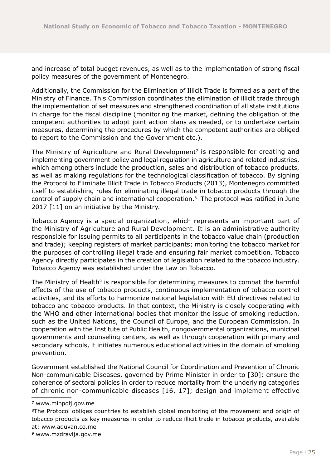and increase of total budget revenues, as well as to the implementation of strong fiscal policy measures of the government of Montenegro.

Additionally, the Commission for the Elimination of Illicit Trade is formed as a part of the Ministry of Finance. This Commission coordinates the elimination of illicit trade through the implementation of set measures and strengthened coordination of all state institutions in charge for the fiscal discipline (monitoring the market, defining the obligation of the competent authorities to adopt joint action plans as needed, or to undertake certain measures, determining the procedures by which the competent authorities are obliged to report to the Commission and the Government etc.).

The Ministry of Agriculture and Rural Development<sup>7</sup> is responsible for creating and implementing government policy and legal regulation in agriculture and related industries, which among others include the production, sales and distribution of tobacco products, as well as making regulations for the technological classification of tobacco. By signing the Protocol to Eliminate Illicit Trade in Tobacco Products (2013), Montenegro committed itself to establishing rules for eliminating illegal trade in tobacco products through the control of supply chain and international cooperation.8 The protocol was ratified in June 2017 [11] on an initiative by the Ministry.

Tobacco Agency is a special organization, which represents an important part of the Ministry of Agriculture and Rural Development. It is an administrative authority responsible for issuing permits to all participants in the tobacco value chain (production and trade); keeping registers of market participants; monitoring the tobacco market for the purposes of controlling illegal trade and ensuring fair market competition. Tobacco Agency directly participates in the creation of legislation related to the tobacco industry. Tobacco Agency was established under the Law on Tobacco.

The Ministry of Health<sup>9</sup> is responsible for determining measures to combat the harmful effects of the use of tobacco products, continuous implementation of tobacco control activities, and its efforts to harmonize national legislation with EU directives related to tobacco and tobacco products. In that context, the Ministry is closely cooperating with the WHO and other international bodies that monitor the issue of smoking reduction, such as the United Nations, the Council of Europe, and the European Commission. In cooperation with the Institute of Public Health, nongovernmental organizations, municipal governments and counseling centers, as well as through cooperation with primary and secondary schools, it initiates numerous educational activities in the domain of smoking prevention.

Government established the National Council for Coordination and Prevention of Chronic Non-communicable Diseases, governed by Prime Minister in order to [30]: ensure the coherence of sectoral policies in order to reduce mortality from the underlying categories of chronic non-communicable diseases [16, 17]; design and implement effective

<sup>7</sup> [www.minpolj.gov.me](http://www.minpolj.gov.me) 

<sup>8</sup>The Protocol obliges countries to establish global monitoring of the movement and origin of tobacco products as key measures in order to reduce illicit trade in tobacco products, available at: [www.aduvan.co.me](http://www.aduvan.co.me/-)

<sup>9</sup> [www.mzdravlja.gov.me](http://www.mzdravlja.gov.me)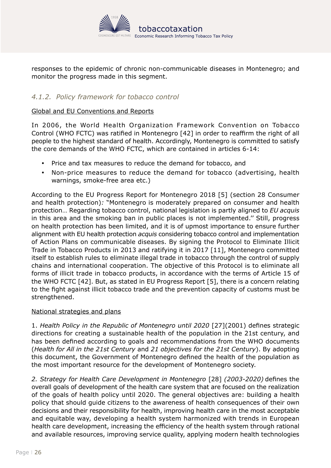

<span id="page-25-0"></span>responses to the epidemic of chronic non-communicable diseases in Montenegro; and monitor the progress made in this segment.

#### *4.1.2. Policy framework for tobacco control*

#### Global and EU Conventions and Reports

In 2006, the World Health Organization Framework Convention on Tobacco Control (WHO FCTC) was ratified in Montenegro [42] in order to reaffirm the right of all people to the highest standard of health. Accordingly, Montenegro is committed to satisfy the core demands of the WHO FCTC, which are contained in articles 6-14:

- Price and tax measures to reduce the demand for tobacco, and
- Non-price measures to reduce the demand for tobacco (advertising, health warnings, smoke-free area etc.)

According to the EU Progress Report for Montenegro 2018 [5] (section 28 Consumer and health protection)*:* "Montenegro is moderately prepared on consumer and health protection… Regarding tobacco control, national legislation is partly aligned to *EU acquis* in this area and the smoking ban in public places is not implemented.'' Still, progress on health protection has been limited, and it is of upmost importance to ensure further alignment with EU health protection *acquis* considering tobacco control and implementation of Action Plans on communicable diseases. By signing the Protocol to Eliminate Illicit Trade in Tobacco Products in 2013 and ratifying it in 2017 [11], Montenegro committed itself to establish rules to eliminate illegal trade in tobacco through the control of supply chains and international cooperation. The objective of this Protocol is to eliminate all forms of illicit trade in tobacco products, in accordance with the terms of Article 15 of the WHO FCTC [42]. But, as stated in EU Progress Report [5], there is a concern relating to the fight against illicit tobacco trade and the prevention capacity of customs must be strengthened.

#### National strategies and plans

1. *Health Policy in the Republic of Montenegro until 2020* [27](2001) defines strategic directions for creating a sustainable health of the population in the 21st century, and has been defined according to goals and recommendations from the WHO documents (*Health for All in the 21st Century* and *21 objectives for the 21st Century*). By adopting this document, the Government of Montenegro defined the health of the population as the most important resource for the development of Montenegro society.

*2. Strategy for Health Care Development in Montenegro* [28] *(2003-2020)* defines the overall goals of development of the health care system that are focused on the realization of the goals of health policy until 2020. The general objectives are: building a health policy that should guide citizens to the awareness of health consequences of their own decisions and their responsibility for health, improving health care in the most acceptable and equitable way, developing a health system harmonized with trends in European health care development, increasing the efficiency of the health system through rational and available resources, improving service quality, applying modern health technologies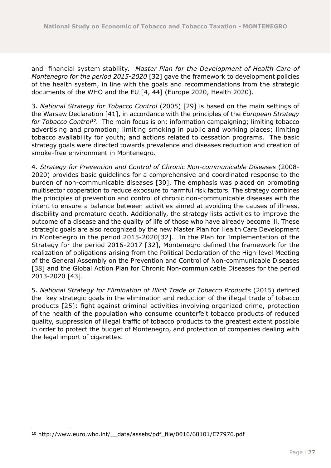and financial system stability. *Master Plan for the Development of Health Care of Montenegro for the period 2015-2020* [32] gave the framework to development policies of the health system, in line with the goals and recommendations from the strategic documents of the WHO and the EU [4, 44] (Europe 2020, Health 2020).

3. *National Strategy for Tobacco Control* (2005) [29] is based on the main settings of the Warsaw Declaration [41], in accordance with the principles of the *European Strategy for Tobacco Control10*. The main focus is on: information campaigning; limiting tobacco advertising and promotion; limiting smoking in public and working places; limiting tobacco availability for youth; and actions related to cessation programs. The basic strategy goals were directed towards prevalence and diseases reduction and creation of smoke-free environment in Montenegro.

4. *Strategy for Prevention and Control of Chronic Non-communicable Diseases* (2008- 2020) provides basic guidelines for a comprehensive and coordinated response to the burden of non-communicable diseases [30]. The emphasis was placed on promoting multisector cooperation to reduce exposure to harmful risk factors. The strategy combines the principles of prevention and control of chronic non-communicable diseases with the intent to ensure a balance between activities aimed at avoiding the causes of illness, disability and premature death. Additionally, the strategy lists activities to improve the outcome of a disease and the quality of life of those who have already become ill. These strategic goals are also recognized by the new Master Plan for Health Care Development in Montenegro in the period 2015-2020[32]. In the Plan for Implementation of the Strategy for the period 2016-2017 [32], Montenegro defined the framework for the realization of obligations arising from the Political Declaration of the High-level Meeting of the General Assembly on the Prevention and Control of Non-communicable Diseases [38] and the Global Action Plan for Chronic Non-communicable Diseases for the period 2013-2020 [43].

5. *National Strategy for Elimination of Illicit Trade of Tobacco Products* (2015) defined the key strategic goals in the elimination and reduction of the illegal trade of tobacco products [25]: fight against criminal activities involving organized crime, protection of the health of the population who consume counterfeit tobacco products of reduced quality, suppression of illegal traffic of tobacco products to the greatest extent possible in order to protect the budget of Montenegro, and protection of companies dealing with the legal import of cigarettes.

<sup>10</sup> http://www.euro.who.int/\_\_data/assets/pdf\_file/0016/68101/E77976.pdf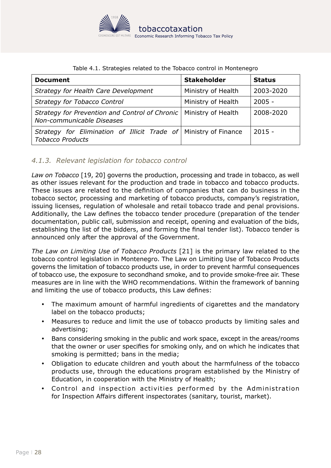

<span id="page-27-0"></span>

| <b>Document</b>                                                                             | <b>Stakeholder</b> | <b>Status</b> |
|---------------------------------------------------------------------------------------------|--------------------|---------------|
| Strategy for Health Care Development                                                        | Ministry of Health | 2003-2020     |
| <b>Strategy for Tobacco Control</b>                                                         | Ministry of Health | $2005 -$      |
| Strategy for Prevention and Control of Chronic<br>Non-communicable Diseases                 | Ministry of Health | 2008-2020     |
| Strategy for Elimination of Illicit Trade of Ministry of Finance<br><b>Tobacco Products</b> |                    | $2015 -$      |

#### Table 4.1. Strategies related to the Tobacco control in Montenegro

#### *4.1.3. Relevant legislation for tobacco control*

*Law on Tobacco* [19, 20] governs the production, processing and trade in tobacco, as well as other issues relevant for the production and trade in tobacco and tobacco products. These issues are related to the definition of companies that can do business in the tobacco sector, processing and marketing of tobacco products, company's registration, issuing licenses, regulation of wholesale and retail tobacco trade and penal provisions. Additionally, the Law defines the tobacco tender procedure (preparation of the tender documentation, public call, submission and receipt, opening and evaluation of the bids, establishing the list of the bidders, and forming the final tender list). Tobacco tender is announced only after the approval of the Government.

*The Law on Limiting Use of Tobacco Products* [21] is the primary law related to the tobacco control legislation in Montenegro. The Law on Limiting Use of Tobacco Products governs the limitation of tobacco products use, in order to prevent harmful consequences of tobacco use, the exposure to secondhand smoke, and to provide smoke-free air. These measures are in line with the WHO recommendations. Within the framework of banning and limiting the use of tobacco products, this Law defines:

- The maximum amount of harmful ingredients of cigarettes and the mandatory label on the tobacco products;
- Measures to reduce and limit the use of tobacco products by limiting sales and advertising;
- Bans considering smoking in the public and work space, except in the areas/rooms that the owner or user specifies for smoking only, and on which he indicates that smoking is permitted; bans in the media;
- Obligation to educate children and youth about the harmfulness of the tobacco products use, through the educations program established by the Ministry of Education, in cooperation with the Ministry of Health;
- Control and inspection activities performed by the Administration for Inspection Affairs different inspectorates (sanitary, tourist, market).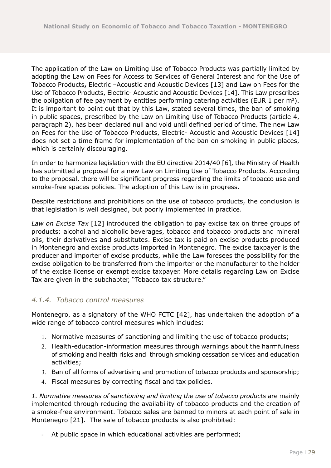<span id="page-28-0"></span>The application of the Law on Limiting Use of Tobacco Products was partially limited by adopting the Law on Fees for Access to Services of General Interest and for the Use of Tobacco Products**,** Electric –Acoustic and Acoustic Devices [13] and Law on Fees for the Use of Tobacco Products, Electric- Acoustic and Acoustic Devices [14]. This Law prescribes the obligation of fee payment by entities performing catering activities (EUR 1 per  $m^2$ ). It is important to point out that by this Law, stated several times, the ban of smoking in public spaces, prescribed by the Law on Limiting Use of Tobacco Products (article 4, paragraph 2), has been declared null and void until defined period of time. The new Law on Fees for the Use of Tobacco Products, Electric- Acoustic and Acoustic Devices [14] does not set a time frame for implementation of the ban on smoking in public places, which is certainly discouraging.

In order to harmonize legislation with the EU directive 2014/40 [6], the Ministry of Health has submitted a proposal for a new Law on Limiting Use of Tobacco Products. According to the proposal, there will be significant progress regarding the limits of tobacco use and smoke-free spaces policies. The adoption of this Law is in progress.

Despite restrictions and prohibitions on the use of tobacco products, the conclusion is that legislation is well designed, but poorly implemented in practice.

*Law on Excise Tax* [12] introduced the obligation to pay excise tax on three groups of products: alcohol and alcoholic beverages, tobacco and tobacco products and mineral oils, their derivatives and substitutes. Excise tax is paid on excise products produced in Montenegro and excise products imported in Montenegro. The excise taxpayer is the producer and importer of excise products, while the Law foresees the possibility for the excise obligation to be transferred from the importer or the manufacturer to the holder of the excise license or exempt excise taxpayer. More details regarding Law on Excise Tax are given in the subchapter, "Tobacco tax structure."

#### *4.1.4. Tobacco control measures*

Montenegro, as a signatory of the WHO FCTC [42], has undertaken the adoption of a wide range of tobacco control measures which includes:

- 1. Normative measures of sanctioning and limiting the use of tobacco products;
- 2. Health-education-information measures through warnings about the harmfulness of smoking and health risks and through smoking cessation services and education activities;
- 3. Ban of all forms of advertising and promotion of tobacco products and sponsorship;
- 4. Fiscal measures by correcting fiscal and tax policies.

*1. Normative measures of sanctioning and limiting the use of tobacco products* are mainly implemented through reducing the availability of tobacco products and the creation of a smoke-free environment. Tobacco sales are banned to minors at each point of sale in Montenegro [21]. The sale of tobacco products is also prohibited:

At public space in which educational activities are performed;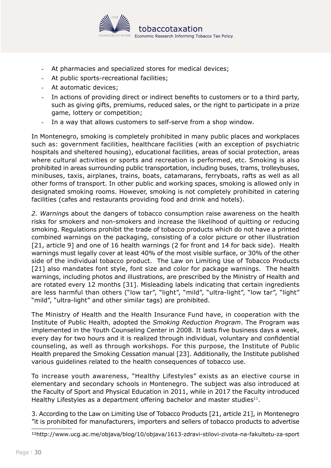

- At pharmacies and specialized stores for medical devices;
- At public sports-recreational facilities;
- At automatic devices;
- In actions of providing direct or indirect benefits to customers or to a third party, such as giving gifts, premiums, reduced sales, or the right to participate in a prize game, lottery or competition;
- In a way that allows customers to self-serve from a shop window.

In Montenegro, smoking is completely prohibited in many public places and workplaces such as: government facilities, healthcare facilities (with an exception of psychiatric hospitals and sheltered housing), educational facilities, areas of social protection, areas where cultural activities or sports and recreation is performed, etc. Smoking is also prohibited in areas surrounding public transportation, including buses, trams, trolleybuses, minibuses, taxis, airplanes, trains, boats, catamarans, ferryboats, rafts as well as all other forms of transport. In other public and working spaces, smoking is allowed only in designated smoking rooms. However, smoking is not completely prohibited in catering facilities (cafes and restaurants providing food and drink and hotels).

*2. Warning*s about the dangers of tobacco consumption raise awareness on the health risks for smokers and non-smokers and increase the likelihood of quitting or reducing smoking. Regulations prohibit the trade of tobacco products which do not have a printed combined warnings on the packaging, consisting of a color picture or other illustration [21, article 9] and one of 16 health warnings (2 for front and 14 for back side). Health warnings must legally cover at least 40% of the most visible surface, or 30% of the other side of the individual tobacco product. The Law on Limiting Use of Tobacco Products [21] also mandates font style, font size and color for package warnings. The health warnings, including photos and illustrations, are prescribed by the Ministry of Health and are rotated every 12 months [31]. Misleading labels indicating that certain ingredients are less harmful than others ("low tar", "light", "mild", "ultra-light", "low tar", "light" "mild", "ultra-light" and other similar tags) are prohibited.

The Ministry of Health and the Health Insurance Fund have, in cooperation with the Institute of Public Health, adopted the *Smoking Reduction Program*. The Program was implemented in the Youth Counseling Center in 2008. It lasts five business days a week, every day for two hours and it is realized through individual, voluntary and confidential counseling, as well as through workshops. For this purpose, the Institute of Public Health prepared the Smoking Cessation manual [23]. Additionally, the Institute published various guidelines related to the health consequences of tobacco use.

To increase youth awareness, "Healthy Lifestyles" exists as an elective course in elementary and secondary schools in Montenegro. The subject was also introduced at the Faculty of Sport and Physical Education in 2011, while in 2017 the Faculty introduced Healthy Lifestyles as a department offering bachelor and master studies $11$ .

3. According to the Law on Limiting Use of Tobacco Products [21, article 21], in Montenegro "it is prohibited for manufacturers, importers and sellers of tobacco products to advertise

<sup>11</sup><http://www.ucg.ac.me/objava/blog/10/objava/1613-zdravi-stilovi-zivota-na-fakultetu-za-sport>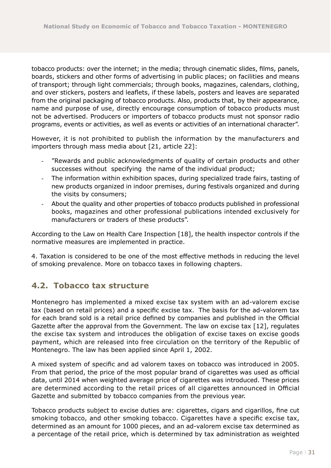<span id="page-30-0"></span>tobacco products: over the internet; in the media; through cinematic slides, films, panels, boards, stickers and other forms of advertising in public places; on facilities and means of transport; through light commercials; through books, magazines, calendars, clothing, and over stickers, posters and leaflets, if these labels, posters and leaves are separated from the original packaging of tobacco products. Also, products that, by their appearance, name and purpose of use, directly encourage consumption of tobacco products must not be advertised. Producers or importers of tobacco products must not sponsor radio programs, events or activities, as well as events or activities of an international character".

However, it is not prohibited to publish the information by the manufacturers and importers through mass media about [21, article 22]:

- "Rewards and public acknowledgments of quality of certain products and other successes without specifying the name of the individual product;
- The information within exhibition spaces, during specialized trade fairs, tasting of new products organized in indoor premises, during festivals organized and during the visits by consumers;
- About the quality and other properties of tobacco products published in professional books, magazines and other professional publications intended exclusively for manufacturers or traders of these products".

According to the Law on Health Care Inspection [18], the health inspector controls if the normative measures are implemented in practice.

4. Taxation is considered to be one of the most effective methods in reducing the level of smoking prevalence. More on tobacco taxes in following chapters.

### **4.2. Tobacco tax structure**

Montenegro has implemented a mixed excise tax system with an ad-valorem excise tax (based on retail prices) and a specific excise tax. The basis for the ad-valorem tax for each brand sold is a retail price defined by companies and published in the Official Gazette after the approval from the Government. The law on excise tax [12], regulates the excise tax system and introduces the obligation of excise taxes on excise goods payment, which are released into free circulation on the territory of the Republic of Montenegro. The law has been applied since April 1, 2002.

A mixed system of specific and ad valorem taxes on tobacco was introduced in 2005. From that period, the price of the most popular brand of cigarettes was used as official data, until 2014 when weighted average price of cigarettes was introduced. These prices are determined according to the retail prices of all cigarettes announced in Official Gazette and submitted by tobacco companies from the previous year.

Tobacco products subject to excise duties are: cigarettes, cigars and cigarillos, fine cut smoking tobacco, and other smoking tobacco. Cigarettes have a specific excise tax, determined as an amount for 1000 pieces, and an ad-valorem excise tax determined as a percentage of the retail price, which is determined by tax administration as weighted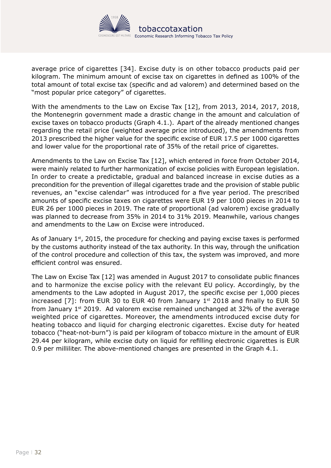

average price of cigarettes [34]. Excise duty is on other tobacco products paid per kilogram. The minimum amount of excise tax on cigarettes in defined as 100% of the total amount of total excise tax (specific and ad valorem) and determined based on the "most popular price category" of cigarettes.

With the amendments to the Law on Excise Tax [12], from 2013, 2014, 2017, 2018, the Montenegrin government made a drastic change in the amount and calculation of excise taxes on tobacco products (Graph 4.1.). Apart of the already mentioned changes regarding the retail price (weighted average price introduced), the amendments from 2013 prescribed the higher value for the specific excise of EUR 17.5 per 1000 cigarettes and lower value for the proportional rate of 35% of the retail price of cigarettes.

Amendments to the Law on Excise Tax [12], which entered in force from October 2014, were mainly related to further harmonization of excise policies with European legislation. In order to create a predictable, gradual and balanced increase in excise duties as a precondition for the prevention of illegal cigarettes trade and the provision of stable public revenues, an "excise calendar" was introduced for a five year period. The prescribed amounts of specific excise taxes on cigarettes were EUR 19 per 1000 pieces in 2014 to EUR 26 per 1000 pieces in 2019. The rate of proportional (ad valorem) excise gradually was planned to decrease from 35% in 2014 to 31% 2019. Meanwhile, various changes and amendments to the Law on Excise were introduced.

As of January  $1<sup>st</sup>$ , 2015, the procedure for checking and paying excise taxes is performed by the customs authority instead of the tax authority. In this way, through the unification of the control procedure and collection of this tax, the system was improved, and more efficient control was ensured.

The Law on Excise Tax [12] was amended in August 2017 to consolidate public finances and to harmonize the excise policy with the relevant EU policy. Accordingly, by the amendments to the Law adopted in August 2017, the specific excise per 1,000 pieces increased  $[7]$ : from EUR 30 to EUR 40 from January 1st 2018 and finally to EUR 50 from January  $1<sup>st</sup>$  2019. Ad valorem excise remained unchanged at 32% of the average weighted price of cigarettes. Moreover, the amendments introduced excise duty for heating tobacco and liquid for charging electronic cigarettes. Excise duty for heated tobacco ("heat-not-burn") is paid per kilogram of tobacco mixture in the amount of EUR 29.44 per kilogram, while excise duty on liquid for refilling electronic cigarettes is EUR 0.9 per milliliter. The above-mentioned changes are presented in the Graph 4.1.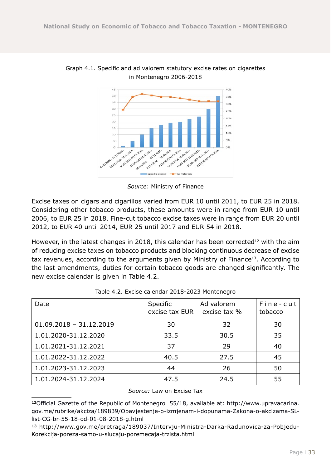

Graph 4.1. Specific and ad valorem statutory excise rates on cigarettes in Montenegro 2006-2018

*Source*: Ministry of Finance

Excise taxes on cigars and cigarillos varied from EUR 10 until 2011, to EUR 25 in 2018. Considering other tobacco products, these amounts were in range from EUR 10 until 2006, to EUR 25 in 2018. Fine-cut tobacco excise taxes were in range from EUR 20 until 2012, to EUR 40 until 2014, EUR 25 until 2017 and EUR 54 in 2018.

However, in the latest changes in 2018, this calendar has been corrected<sup>12</sup> with the aim of reducing excise taxes on tobacco products and blocking continuous decrease of excise tax revenues, according to the arguments given by Ministry of Finance<sup>13</sup>. According to the last amendments, duties for certain tobacco goods are changed significantly. The new excise calendar is given in Table 4.2.

| Date                      | Specific<br>excise tax EUR | Ad valorem<br>excise tax % | Fine-cut<br>tobacco |
|---------------------------|----------------------------|----------------------------|---------------------|
| $01.09.2018 - 31.12.2019$ | 30                         | 32                         | 30                  |
| 1.01.2020-31.12.2020      | 33.5                       | 30.5                       | 35                  |
| 1.01.2021-31.12.2021      | 37                         | 29                         | 40                  |
| 1.01.2022-31.12.2022      | 40.5                       | 27.5                       | 45                  |
| 1.01.2023-31.12.2023      | 44                         | 26                         | 50                  |
| 1.01.2024-31.12.2024      | 47.5                       | 24.5                       | 55                  |

| Table 4.2. Excise calendar 2018-2023 Montenegro |  |
|-------------------------------------------------|--|
|-------------------------------------------------|--|

*Source:* Law on Excise Tax

<sup>12</sup>Official Gazette of the Republic of Montenegro 55/18, available at: http://www.upravacarina. gov.me/rubrike/akciza/189839/Obavjestenje-o-izmjenam-i-dopunama-Zakona-o-akcizama-SLlist-CG-br-55-18-od-01-08-2018-g.html

<sup>13</sup> http://www.gov.me/pretraga/189037/Intervju-Ministra-Darka-Radunovica-za-Pobjedu-Korekcija-poreza-samo-u-slucaju-poremecaja-trzista.html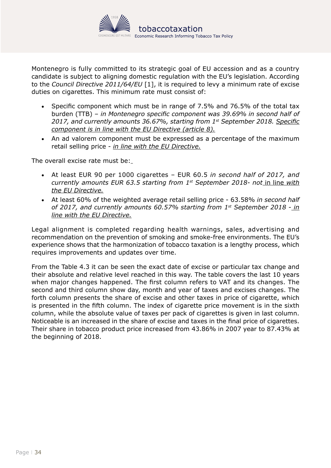

Montenegro is fully committed to its strategic goal of EU accession and as a country candidate is subject to aligning domestic regulation with the EU's legislation. According to the *Council Directive 2011/64/EU* [1], it is required to levy a minimum rate of excise duties on cigarettes. This minimum rate must consist of:

- Specific component which must be in range of 7.5% and 76.5% of the total tax burden (TTB) – *in Montenegro specific component was 39.69% in second half of 2017, and currently amounts 36.67%, starting from 1st September 2018. Specific component is in line with the EU Directive (article 8).*
- An ad valorem component must be expressed as a percentage of the maximum retail selling price - *in line with the EU Directive.*

The overall excise rate must be:

- • At least EUR 90 per 1000 cigarettes EUR 60.5 *in second half of 2017, and currently amounts EUR 63.5 starting from 1st September 2018- not* in line *with the EU Directive.*
- At least 60% of the weighted average retail selling price 63.58% in second half *of 2017, and currently amounts 60.57% starting from 1st September 2018* - *in line with the EU Directive.*

Legal alignment is completed regarding health warnings, sales, advertising and recommendation on the prevention of smoking and smoke-free environments. The EU's experience shows that the harmonization of tobacco taxation is a lengthy process, which requires improvements and updates over time.

From the Table 4.3 it can be seen the exact date of excise or particular tax change and their absolute and relative level reached in this way. The table covers the last 10 years when major changes happened. The first column refers to VAT and its changes. The second and third column show day, month and year of taxes and excises changes. The forth column presents the share of excise and other taxes in price of cigarette, which is presented in the fifth column. The index of cigarette price movement is in the sixth column, while the absolute value of taxes per pack of cigarettes is given in last column. Noticeable is an increased in the share of excise and taxes in the final price of cigarettes. Their share in tobacco product price increased from 43.86% in 2007 year to 87.43% at the beginning of 2018.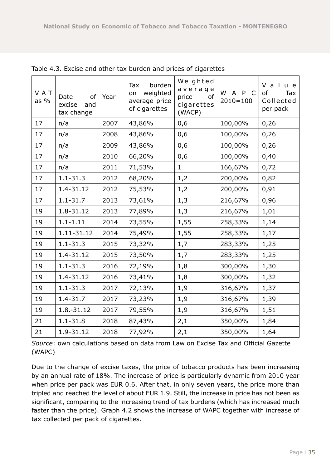| VAT<br>as $%$ | Date<br>of<br>excise<br>and<br>tax change | Year | burden<br>Tax<br>weighted<br>on<br>average price<br>of cigarettes | Weighted<br>average<br>price<br>of<br>cigarettes<br>(WACP) | W A P C<br>$2010 = 100$ | V a<br>u e<br>of<br>Tax<br>Collected<br>per pack |
|---------------|-------------------------------------------|------|-------------------------------------------------------------------|------------------------------------------------------------|-------------------------|--------------------------------------------------|
| 17            | n/a                                       | 2007 | 43,86%                                                            | 0,6                                                        | 100,00%                 | 0,26                                             |
| 17            | n/a                                       | 2008 | 43,86%                                                            | 0,6                                                        | 100,00%                 | 0,26                                             |
| 17            | n/a                                       | 2009 | 43,86%                                                            | 0,6                                                        | 100,00%                 | 0,26                                             |
| 17            | n/a                                       | 2010 | 66,20%                                                            | 0,6                                                        | 100,00%                 | 0,40                                             |
| 17            | n/a                                       | 2011 | 71,53%                                                            | $\mathbf{1}$                                               | 166,67%                 | 0,72                                             |
| 17            | $1.1 - 31.3$                              | 2012 | 68,20%                                                            | 1,2                                                        | 200,00%                 | 0,82                                             |
| 17            | 1.4-31.12                                 | 2012 | 75,53%                                                            | 1,2                                                        | 200,00%                 | 0,91                                             |
| 17            | $1.1 - 31.7$                              | 2013 | 73,61%                                                            | 1,3                                                        | 216,67%                 | 0,96                                             |
| 19            | 1.8-31.12                                 | 2013 | 77,89%                                                            | 1,3                                                        | 216,67%                 | 1,01                                             |
| 19            | $1.1 - 1.11$                              | 2014 | 73,55%                                                            | 1,55                                                       | 258,33%                 | 1,14                                             |
| 19            | 1.11-31.12                                | 2014 | 75,49%                                                            | 1,55                                                       | 258,33%                 | 1,17                                             |
| 19            | $1.1 - 31.3$                              | 2015 | 73,32%                                                            | 1,7                                                        | 283,33%                 | 1,25                                             |
| 19            | 1.4-31.12                                 | 2015 | 73,50%                                                            | 1,7                                                        | 283,33%                 | 1,25                                             |
| 19            | $1.1 - 31.3$                              | 2016 | 72,19%                                                            | 1,8                                                        | 300,00%                 | 1,30                                             |
| 19            | 1.4-31.12                                 | 2016 | 73,41%                                                            | 1,8                                                        | 300,00%                 | 1,32                                             |
| 19            | $1.1 - 31.3$                              | 2017 | 72,13%                                                            | 1,9                                                        | 316,67%                 | 1,37                                             |
| 19            | $1.4 - 31.7$                              | 2017 | 73,23%                                                            | 1,9                                                        | 316,67%                 | 1,39                                             |
| 19            | 1.8.-31.12                                | 2017 | 79,55%                                                            | 1,9                                                        | 316,67%                 | 1,51                                             |
| 21            | $1.1 - 31.8$                              | 2018 | 87,43%                                                            | 2,1                                                        | 350,00%                 | 1,84                                             |
| 21            | 1.9-31.12                                 | 2018 | 77,92%                                                            | 2,1                                                        | 350,00%                 | 1,64                                             |

Table 4.3. Excise and other tax burden and prices of cigarettes

*Source*: own calculations based on data from Law on Excise Tax and Official Gazette (WAPC)

Due to the change of excise taxes, the price of tobacco products has been increasing by an annual rate of 18%. The increase of price is particularly dynamic from 2010 year when price per pack was EUR 0.6. After that, in only seven years, the price more than tripled and reached the level of about EUR 1.9. Still, the increase in price has not been as significant, comparing to the increasing trend of tax burdens (which has increased much faster than the price). Graph 4.2 shows the increase of WAPC together with increase of tax collected per pack of cigarettes.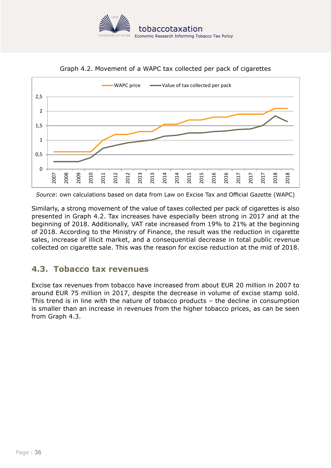

<span id="page-35-0"></span>

Graph 4.2. Movement of a WAPC tax collected per pack of cigarettes

*Source*: own calculations based on data from Law on Excise Tax and Official Gazette (WAPC)

Similarly, a strong movement of the value of taxes collected per pack of cigarettes is also presented in Graph 4.2. Tax increases have especially been strong in 2017 and at the beginning of 2018. Additionally, VAT rate increased from 19% to 21% at the beginning of 2018. According to the Ministry of Finance, the result was the reduction in cigarette sales, increase of illicit market, and a consequential decrease in total public revenue collected on cigarette sale. This was the reason for excise reduction at the mid of 2018.

### **4.3. Tobacco tax revenues**

Excise tax revenues from tobacco have increased from about EUR 20 million in 2007 to around EUR 75 million in 2017, despite the decrease in volume of excise stamp sold. This trend is in line with the nature of tobacco products – the decline in consumption is smaller than an increase in revenues from the higher tobacco prices, as can be seen from Graph 4.3.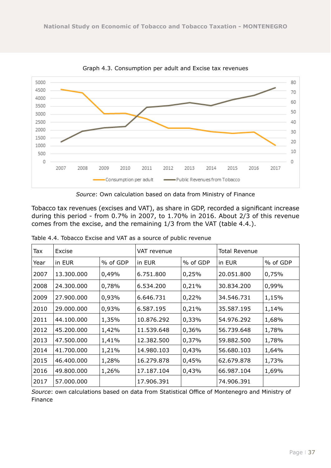

Graph 4.3. Consumption per adult and Excise tax revenues

*Source*: Own calculation based on data from Ministry of Finance

Tobacco tax revenues (excises and VAT), as share in GDP, recorded a significant increase during this period - from 0.7% in 2007, to 1.70% in 2016. About 2/3 of this revenue comes from the excise, and the remaining 1/3 from the VAT (table 4.4.).

| Tax  | Excise     |          | VAT revenue |          | Total Revenue |          |
|------|------------|----------|-------------|----------|---------------|----------|
| Year | in EUR     | % of GDP | in EUR      | % of GDP | in EUR        | % of GDP |
| 2007 | 13.300.000 | 0,49%    | 6.751.800   | 0,25%    | 20.051.800    | 0,75%    |
| 2008 | 24.300.000 | 0,78%    | 6.534.200   | 0,21%    | 30.834.200    | 0,99%    |
| 2009 | 27.900.000 | 0,93%    | 6.646.731   | 0,22%    | 34.546.731    | 1,15%    |
| 2010 | 29.000.000 | 0,93%    | 6.587.195   | 0,21%    | 35.587.195    | 1,14%    |
| 2011 | 44.100.000 | 1,35%    | 10.876.292  | 0,33%    | 54.976.292    | 1,68%    |
| 2012 | 45.200.000 | 1,42%    | 11.539.648  | 0,36%    | 56.739.648    | 1,78%    |
| 2013 | 47.500.000 | 1,41%    | 12.382.500  | 0,37%    | 59.882.500    | 1,78%    |
| 2014 | 41,700,000 | 1,21%    | 14.980.103  | 0,43%    | 56.680.103    | 1,64%    |
| 2015 | 46.400.000 | 1,28%    | 16.279.878  | 0,45%    | 62.679.878    | 1,73%    |
| 2016 | 49.800.000 | 1,26%    | 17.187.104  | 0,43%    | 66.987.104    | 1,69%    |
| 2017 | 57.000.000 |          | 17.906.391  |          | 74.906.391    |          |

Table 4.4. Tobacco Excise and VAT as a source of public revenue

*Source*: own calculations based on data from Statistical Office of Montenegro and Ministry of Finance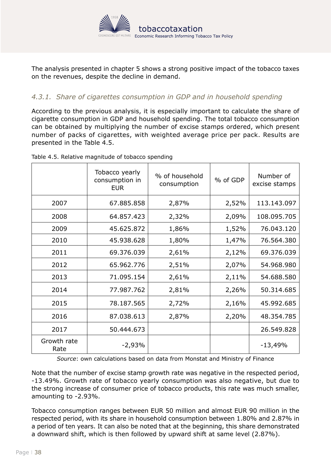

<span id="page-37-0"></span>The analysis presented in chapter 5 shows a strong positive impact of the tobacco taxes on the revenues, despite the decline in demand.

#### *4.3.1. Share of cigarettes consumption in GDP and in household spending*

According to the previous analysis, it is especially important to calculate the share of cigarette consumption in GDP and household spending. The total tobacco consumption can be obtained by multiplying the number of excise stamps ordered, which present number of packs of cigarettes, with weighted average price per pack. Results are presented in the Table 4.5.

|                     | Tobacco yearly<br>consumption in<br><b>EUR</b> | % of household<br>consumption | % of GDP | Number of<br>excise stamps |
|---------------------|------------------------------------------------|-------------------------------|----------|----------------------------|
| 2007                | 67.885.858                                     | 2,87%                         | 2,52%    | 113.143.097                |
| 2008                | 64.857.423                                     | 2,32%                         | 2,09%    | 108.095.705                |
| 2009                | 45.625.872                                     | 1,86%                         | 1,52%    | 76.043.120                 |
| 2010                | 45.938.628                                     | 1,80%                         | 1,47%    | 76.564.380                 |
| 2011                | 69.376.039                                     | 2,61%                         | 2,12%    | 69.376.039                 |
| 2012                | 65.962.776                                     | 2,51%                         | 2,07%    | 54.968.980                 |
| 2013                | 71.095.154                                     | 2,61%                         | 2,11%    | 54.688.580                 |
| 2014                | 77.987.762                                     | 2,81%                         | 2,26%    | 50.314.685                 |
| 2015                | 78.187.565                                     | 2,72%                         | 2,16%    | 45.992.685                 |
| 2016                | 87.038.613                                     | 2,87%                         | 2,20%    | 48.354.785                 |
| 2017                | 50.444.673                                     |                               |          | 26.549.828                 |
| Growth rate<br>Rate | $-2,93%$                                       |                               |          | $-13,49%$                  |

Table 4.5. Relative magnitude of tobacco spending

*Source*: own calculations based on data from Monstat and Ministry of Finance

Note that the number of excise stamp growth rate was negative in the respected period, -13.49%. Growth rate of tobacco yearly consumption was also negative, but due to the strong increase of consumer price of tobacco products, this rate was much smaller, amounting to -2.93%.

Tobacco consumption ranges between EUR 50 million and almost EUR 90 million in the respected period, with its share in household consumption between 1.80% and 2.87% in a period of ten years. It can also be noted that at the beginning, this share demonstrated a downward shift, which is then followed by upward shift at same level (2.87%).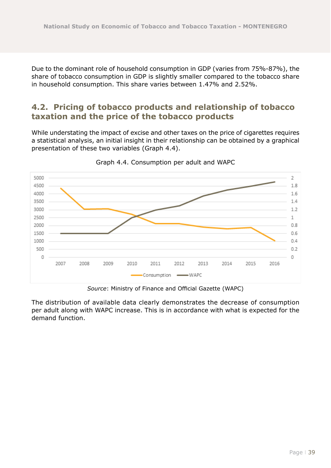<span id="page-38-0"></span>Due to the dominant role of household consumption in GDP (varies from 75%-87%), the share of tobacco consumption in GDP is slightly smaller compared to the tobacco share in household consumption. This share varies between 1.47% and 2.52%.

### **4.2. Pricing of tobacco products and relationship of tobacco taxation and the price of the tobacco products**

While understating the impact of excise and other taxes on the price of cigarettes requires a statistical analysis, an initial insight in their relationship can be obtained by a graphical presentation of these two variables (Graph 4.4).



Graph 4.4. Consumption per adult and WAPC

*Source*: Ministry of Finance and Official Gazette (WAPC)

The distribution of available data clearly demonstrates the decrease of consumption per adult along with WAPC increase. This is in accordance with what is expected for the demand function.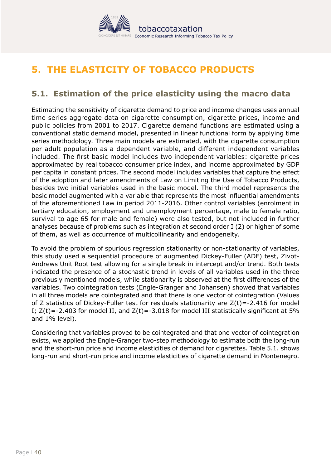

# <span id="page-39-0"></span>**5. THE ELASTICITY OF TOBACCO PRODUCTS**

### **5.1. Estimation of the price elasticity using the macro data**

Estimating the sensitivity of cigarette demand to price and income changes uses annual time series aggregate data on cigarette consumption, cigarette prices, income and public policies from 2001 to 2017. Cigarette demand functions are estimated using a conventional static demand model, presented in linear functional form by applying time series methodology. Three main models are estimated, with the cigarette consumption per adult population as a dependent variable, and different independent variables included. The first basic model includes two independent variables: cigarette prices approximated by real tobacco consumer price index, and income approximated by GDP per capita in constant prices. The second model includes variables that capture the effect of the adoption and later amendments of Law on Limiting the Use of Tobacco Products, besides two initial variables used in the basic model. The third model represents the basic model augmented with a variable that represents the most influential amendments of the aforementioned Law in period 2011-2016. Other control variables (enrolment in tertiary education, employment and unemployment percentage, male to female ratio, survival to age 65 for male and female) were also tested, but not included in further analyses because of problems such as integration at second order I (2) or higher of some of them, as well as occurrence of multicollinearity and endogeneity.

To avoid the problem of spurious regression stationarity or non-stationarity of variables, this study used a sequential procedure of augmented Dickey-Fuller (ADF) test, Zivot-Andrews Unit Root test allowing for a single break in intercept and/or trend. Both tests indicated the presence of a stochastic trend in levels of all variables used in the three previously mentioned models, while stationarity is observed at the first differences of the variables. Two cointegration tests (Engle-Granger and Johansen) showed that variables in all three models are cointegrated and that there is one vector of cointegration (Values of Z statistics of Dickey-Fuller test for residuals stationarity are  $Z(t) = -2.416$  for model I;  $Z(t) = -2.403$  for model II, and  $Z(t) = -3.018$  for model III statistically significant at 5% and 1% level).

Considering that variables proved to be cointegrated and that one vector of cointegration exists, we applied the Engle-Granger two-step methodology to estimate both the long-run and the short-run price and income elasticities of demand for cigarettes. Table 5.1. shows long-run and short-run price and income elasticities of cigarette demand in Montenegro.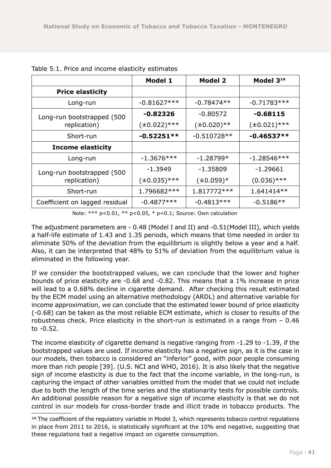|                                | <b>Model 1</b>                | <b>Model 2</b>   | Model 3 <sup>14</sup> |  |
|--------------------------------|-------------------------------|------------------|-----------------------|--|
| <b>Price elasticity</b>        |                               |                  |                       |  |
| Long-run                       | $-0.81627***$<br>$-0.78474**$ |                  | $-0.71783***$         |  |
| Long-run bootstrapped (500     | $-0.82326$                    | $-0.80572$       | $-0.68115$            |  |
| replication)                   | $(\pm 0.022)$ ***             | $(\pm 0.020)$ ** | $(\pm 0.021)$ ***     |  |
| Short-run                      | $-0.52251**$                  | $-0.510728**$    | $-0.46537**$          |  |
| <b>Income elasticity</b>       |                               |                  |                       |  |
| Long-run                       | $-1.3676***$                  | $-1.28799*$      | $-1.28546***$         |  |
| Long-run bootstrapped (500     | $-1.3949$                     | $-1.35809$       | $-1.29661$            |  |
| replication)                   | $(\pm 0.035)$ ***             | $(\pm 0.059)^*$  | $(0.036)$ ***         |  |
| Short-run                      | 1.796682 ***                  | 1.817772 ***     | 1.641414 **           |  |
| Coefficient on lagged residual | $-0.4877***$                  | $-0.4813***$     | $-0.5186**$           |  |

Table 5.1. Price and income elasticity estimates

Note: \*\*\* p<0.01, \*\* p<0.05, \* p<0.1; Source: Own calculation

The adjustment parameters are - 0.48 (Model I and II) and -0.51(Model III), which yields a half-life estimate of 1.43 and 1.35 periods, which means that time needed in order to eliminate 50% of the deviation from the equilibrium is slightly below a year and a half. Also, it can be interpreted that 48% to 51% of deviation from the equilibrium value is eliminated in the following year.

If we consider the bootstrapped values, we can conclude that the lower and higher bounds of price elasticity are -0.68 and -0.82. This means that a 1% increase in price will lead to a 0.68% decline in cigarette demand. After checking this result estimated by the ECM model using an alternative methodology (ARDL) and alternative variable for income approximation, we can conclude that the estimated lower bound of price elasticity (-0.68) can be taken as the most reliable ECM estimate, which is closer to results of the robustness check. Price elasticity in the short-run is estimated in a range from – 0.46 to -0.52.

The income elasticity of cigarette demand is negative ranging from -1.29 to -1.39, if the bootstrapped values are used. If income elasticity has a negative sign, as it is the case in our models, then tobacco is considered an "inferior" good, with poor people consuming more than rich people [39]. (U.S. NCI and WHO, 2016). It is also likely that the negative sign of income elasticity is due to the fact that the income variable, in the long-run, is capturing the impact of other variables omitted from the model that we could not include due to both the length of the time series and the stationarity tests for possible controls. An additional possible reason for a negative sign of income elasticity is that we do not control in our models for cross-border trade and illicit trade in tobacco products. The

<sup>14</sup> The coefficient of the regulatory variable in Model 3, which represents tobacco control regulations in place from 2011 to 2016, is statistically significant at the 10% and negative, suggesting that these regulations had a negative impact on cigarette consumption.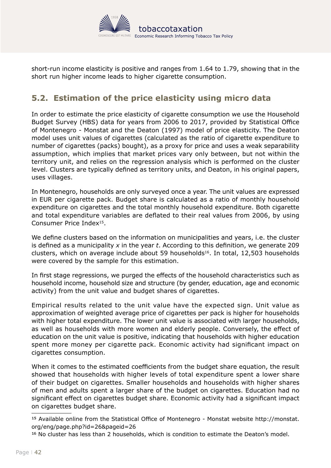

<span id="page-41-0"></span>short-run income elasticity is positive and ranges from 1.64 to 1.79, showing that in the short run higher income leads to higher cigarette consumption.

### **5.2. Estimation of the price elasticity using micro data**

In order to estimate the price elasticity of cigarette consumption we use the Household Budget Survey (HBS) data for years from 2006 to 2017, provided by Statistical Office of Montenegro - Monstat and the Deaton (1997) model of price elasticity. The Deaton model uses unit values of cigarettes (calculated as the ratio of cigarette expenditure to number of cigarettes (packs) bought), as a proxy for price and uses a weak separability assumption, which implies that market prices vary only between, but not within the territory unit, and relies on the regression analysis which is performed on the cluster level. Clusters are typically defined as territory units, and Deaton, in his original papers, uses villages.

In Montenegro, households are only surveyed once a year. The unit values are expressed in EUR per cigarette pack. Budget share is calculated as a ratio of monthly household expenditure on cigarettes and the total monthly household expenditure. Both cigarette and total expenditure variables are deflated to their real values from 2006, by using Consumer Price Index15.

We define clusters based on the information on municipalities and years, i.e. the cluster is defined as a municipality *x* in the year *t*. According to this definition, we generate 209 clusters, which on average include about 59 households<sup>16</sup>. In total, 12,503 households were covered by the sample for this estimation.

In first stage regressions, we purged the effects of the household characteristics such as household income, household size and structure (by gender, education, age and economic activity) from the unit value and budget shares of cigarettes.

Empirical results related to the unit value have the expected sign. Unit value as approximation of weighted average price of cigarettes per pack is higher for households with higher total expenditure. The lower unit value is associated with larger households, as well as households with more women and elderly people. Conversely, the effect of education on the unit value is positive, indicating that households with higher education spent more money per cigarette pack. Economic activity had significant impact on cigarettes consumption.

When it comes to the estimated coefficients from the budget share equation, the result showed that households with higher levels of total expenditure spent a lower share of their budget on cigarettes. Smaller households and households with higher shares of men and adults spent a larger share of the budget on cigarettes. Education had no significant effect on cigarettes budget share. Economic activity had a significant impact on cigarettes budget share.

16 No cluster has less than 2 households, which is condition to estimate the Deaton's model.

<sup>15</sup> Available online from the Statistical Office of Montenegro - Monstat website [http://monstat.](http://monstat.org/eng/page.php?id=26&pageid=26) [org/eng/page.php?id=26&pageid=26](http://monstat.org/eng/page.php?id=26&pageid=26)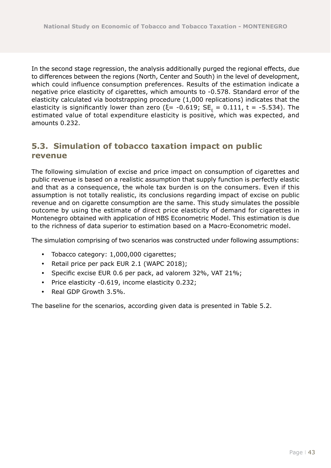<span id="page-42-0"></span>In the second stage regression, the analysis additionally purged the regional effects, due to differences between the regions (North, Center and South) in the level of development, which could influence consumption preferences. Results of the estimation indicate a negative price elasticity of cigarettes, which amounts to -0.578. Standard error of the elasticity calculated via bootstrapping procedure (1,000 replications) indicates that the elasticity is significantly lower than zero (ξ= -0.619; SE $_{\rm \xi}$  = 0.111, t = -5.534). The estimated value of total expenditure elasticity is positive, which was expected, and amounts 0.232.

### **5.3. Simulation of tobacco taxation impact on public revenue**

The following simulation of excise and price impact on consumption of cigarettes and public revenue is based on a realistic assumption that supply function is perfectly elastic and that as a consequence, the whole tax burden is on the consumers. Even if this assumption is not totally realistic, its conclusions regarding impact of excise on public revenue and on cigarette consumption are the same. This study simulates the possible outcome by using the estimate of direct price elasticity of demand for cigarettes in Montenegro obtained with application of HBS Econometric Model. This estimation is due to the richness of data superior to estimation based on a Macro-Econometric model.

The simulation comprising of two scenarios was constructed under following assumptions:

- Tobacco category: 1,000,000 cigarettes;
- y Retail price per pack EUR 2.1 (WAPC 2018);
- Specific excise EUR 0.6 per pack, ad valorem 32%, VAT 21%;
- Price elasticity -0.619, income elasticity 0.232;
- Real GDP Growth 3.5%.

The baseline for the scenarios, according given data is presented in Table 5.2.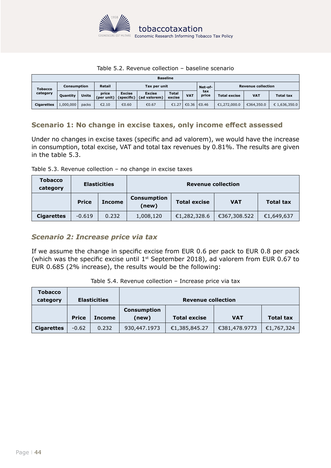

#### Table 5.2. Revenue collection – baseline scenario

<span id="page-43-0"></span>

| <b>Baseline</b>   |             |              |                     |                             |                               |                        |            |                           |                     |            |                  |
|-------------------|-------------|--------------|---------------------|-----------------------------|-------------------------------|------------------------|------------|---------------------------|---------------------|------------|------------------|
| <b>Tobacco</b>    | Consumption |              | Retail              | Tax per unit                |                               |                        | Net-of-    | <b>Revenue collection</b> |                     |            |                  |
| category          | Quantity    | <b>Units</b> | price<br>(per unit) | <b>Excise</b><br>(specific) | <b>Excise</b><br>(ad valorem) | <b>Total</b><br>excise | <b>VAT</b> | tax<br>price              | <b>Total excise</b> | <b>VAT</b> | <b>Total tax</b> |
| <b>Cigarettes</b> | 1,000,000   | packs        | €2.10               | €0.60                       | €0.67                         | €1.27                  | €0.36      | €0.46                     | €1,272,000.0        | €364,350.0 | € 1,636,350.0    |

#### **Scenario 1: No change in excise taxes, only income effect assessed**

Under no changes in excise taxes (specific and ad valorem), we would have the increase in consumption, total excise, VAT and total tax revenues by 0.81%. The results are given in the table 5.3.

Table 5.3. Revenue collection – no change in excise taxes

| <b>Tobacco</b><br>category | <b>Elasticities</b> |               | <b>Revenue collection</b> |                     |              |                  |
|----------------------------|---------------------|---------------|---------------------------|---------------------|--------------|------------------|
|                            | <b>Price</b>        | <b>Income</b> | Consumption<br>(new)      | <b>Total excise</b> | <b>VAT</b>   | <b>Total tax</b> |
| <b>Cigarettes</b>          | $-0.619$            | 0.232         | 1,008,120                 | €1,282,328.6        | €367,308.522 | €1,649,637       |

#### *Scenario 2: Increase price via tax*

If we assume the change in specific excise from EUR 0.6 per pack to EUR 0.8 per pack (which was the specific excise until  $1<sup>st</sup>$  September 2018), ad valorem from EUR 0.67 to EUR 0.685 (2% increase), the results would be the following:

| <b>Tobacco</b><br>category |              | <b>Elasticities</b> | <b>Revenue collection</b> |                     |               |                  |  |
|----------------------------|--------------|---------------------|---------------------------|---------------------|---------------|------------------|--|
|                            |              |                     | <b>Consumption</b>        |                     |               |                  |  |
|                            | <b>Price</b> | <b>Income</b>       | (new)                     | <b>Total excise</b> | <b>VAT</b>    | <b>Total tax</b> |  |
| <b>Cigarettes</b>          | $-0.62$      | 0.232               | 930,447.1973              | €1,385,845.27       | €381,478.9773 | €1,767,324       |  |

Table 5.4. Revenue collection – Increase price via tax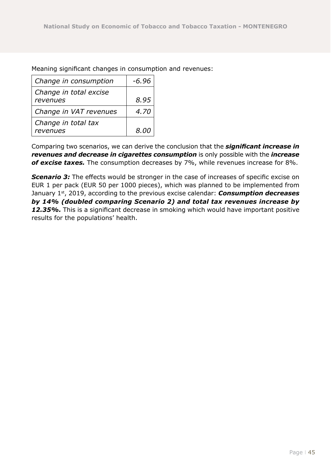Meaning significant changes in consumption and revenues:

| Change in consumption              | -6.96 |
|------------------------------------|-------|
| Change in total excise<br>revenues | 8.95  |
| Change in VAT revenues             | 4.70  |
| Change in total tax<br>revenues    | 8.00  |

Comparing two scenarios, we can derive the conclusion that the *significant increase in revenues and decrease in cigarettes consumption* is only possible with the *increase of excise taxes.* The consumption decreases by 7%, while revenues increase for 8%.

**Scenario 3:** The effects would be stronger in the case of increases of specific excise on EUR 1 per pack (EUR 50 per 1000 pieces), which was planned to be implemented from January 1<sup>st</sup>, 2019, according to the previous excise calendar: **Consumption decreases** *by 14% (doubled comparing Scenario 2) and total tax revenues increase by*  12.35%. This is a significant decrease in smoking which would have important positive results for the populations' health.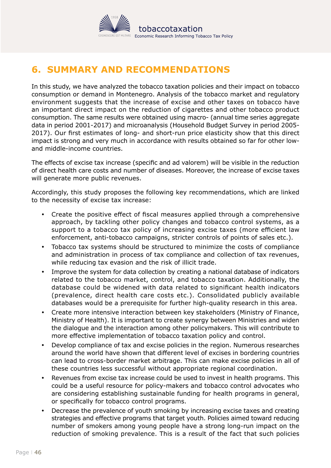

# <span id="page-45-0"></span>**6. SUMMARY AND RECOMMENDATIONS**

In this study, we have analyzed the tobacco taxation policies and their impact on tobacco consumption or demand in Montenegro. Analysis of the tobacco market and regulatory environment suggests that the increase of excise and other taxes on tobacco have an important direct impact on the reduction of cigarettes and other tobacco product consumption. The same results were obtained using macro- (annual time series aggregate data in period 2001-2017) and microanalysis (Household Budget Survey in period 2005- 2017). Our first estimates of long- and short-run price elasticity show that this direct impact is strong and very much in accordance with results obtained so far for other lowand middle-income countries.

The effects of excise tax increase (specific and ad valorem) will be visible in the reduction of direct health care costs and number of diseases. Moreover, the increase of excise taxes will generate more public revenues.

Accordingly, this study proposes the following key recommendations, which are linked to the necessity of excise tax increase:

- Create the positive effect of fiscal measures applied through a comprehensive approach, by tackling other policy changes and tobacco control systems, as a support to a tobacco tax policy of increasing excise taxes (more efficient law enforcement, anti-tobacco campaigns, stricter controls of points of sales etc.).
- Tobacco tax systems should be structured to minimize the costs of compliance and administration in process of tax compliance and collection of tax revenues, while reducing tax evasion and the risk of illicit trade.
- Improve the system for data collection by creating a national database of indicators related to the tobacco market, control, and tobacco taxation. Additionally, the database could be widened with data related to significant health indicators (prevalence, direct health care costs etc.). Consolidated publicly available databases would be a prerequisite for further high-quality research in this area.
- Create more intensive interaction between key stakeholders (Ministry of Finance, Ministry of Health). It is important to create synergy between Ministries and widen the dialogue and the interaction among other policymakers. This will contribute to more effective implementation of tobacco taxation policy and control.
- Develop compliance of tax and excise policies in the region. Numerous researches around the world have shown that different level of excises in bordering countries can lead to cross-border market arbitrage. This can make excise policies in all of these countries less successful without appropriate regional coordination.
- Revenues from excise tax increase could be used to invest in health programs. This could be a useful resource for policy-makers and tobacco control advocates who are considering establishing sustainable funding for health programs in general, or specifically for tobacco control programs.
- Decrease the prevalence of youth smoking by increasing excise taxes and creating strategies and effective programs that target youth. Policies aimed toward reducing number of smokers among young people have a strong long-run impact on the reduction of smoking prevalence. This is a result of the fact that such policies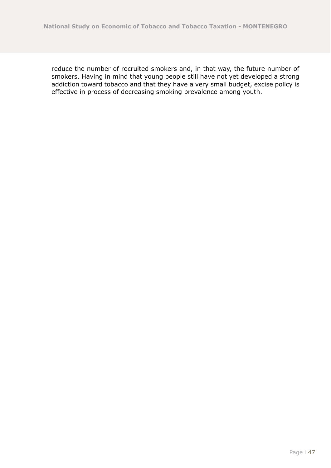reduce the number of recruited smokers and, in that way, the future number of smokers. Having in mind that young people still have not yet developed a strong addiction toward tobacco and that they have a very small budget, excise policy is effective in process of decreasing smoking prevalence among youth.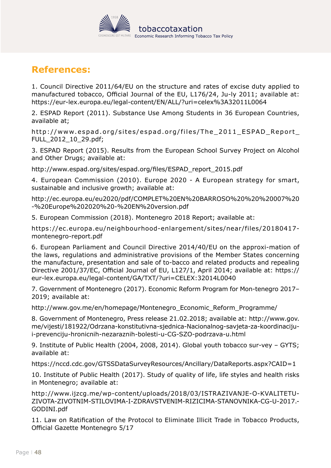

# <span id="page-47-0"></span>**References:**

1. Council Directive 2011/64/EU on the structure and rates of excise duty applied to manufactured tobacco, Official Journal of the EU, L176/24, Ju-ly 2011; available at: https://eur-lex.europa.eu/legal-content/EN/ALL/?uri=celex%3A32011L0064

2. ESPAD Report (2011). Substance Use Among Students in 36 European Countries, available at;

http://www.espad.org/sites/espad.org/files/The\_2011\_ESPAD\_Report\_ FULL\_2012\_10\_29.pdf;

3. ESPAD Report (2015). Results from the European School Survey Project on Alcohol and Other Drugs; available at:

http://www.espad.org/sites/espad.org/files/ESPAD\_report\_2015.pdf

4. European Commission (2010). Europe 2020 - A European strategy for smart, sustainable and inclusive growth; available at:

http://ec.europa.eu/eu2020/pdf/COMPLET%20EN%20BARROSO%20%20%20007%20 -%20Europe%202020%20-%20EN%20version.pdf

5. European Commission (2018). Montenegro 2018 Report; available at:

https://ec.europa.eu/neighbourhood-enlargement/sites/near/files/20180417 montenegro-report.pdf

6. European Parliament and Council Directive 2014/40/EU on the approxi-mation of the laws, regulations and administrative provisions of the Member States concerning the manufacture, presentation and sale of to-bacco and related products and repealing Directive 2001/37/EC, Official Journal of EU, L127/1, April 2014; available at: https:// eur-lex.europa.eu/legal-content/GA/TXT/?uri=CELEX:32014L0040

7. Government of Montenegro (2017). Economic Reform Program for Mon-tenegro 2017– 2019; available at:

http://www.gov.me/en/homepage/Montenegro\_Economic\_Reform\_Programme/

8. Government of Montenegro, Press release 21.02.2018; available at: http://www.gov. me/vijesti/181922/Odrzana-konstitutivna-sjednica-Nacionalnog-savjeta-za-koordinacijui-prevenciju-hronicnih-nezaraznih-bolesti-u-CG-SZO-podrzava-u.html

9. Institute of Public Health (2004, 2008, 2014). Global youth tobacco sur-vey – GYTS; available at:

https://nccd.cdc.gov/GTSSDataSurveyResources/Ancillary/DataReports.aspx?CAID=1

10. Institute of Public Health (2017). Study of quality of life, life styles and health risks in Montenegro; available at:

http://www.ijzcg.me/wp-content/uploads/2018/03/ISTRAZIVANJE-O-KVALITETU-ZIVOTA-ZIVOTNIM-STILOVIMA-I-ZDRAVSTVENIM-RIZICIMA-STANOVNIKA-CG-U-2017.- GODINI.pdf

11. Law on Ratification of the Protocol to Eliminate Illicit Trade in Tobacco Products, Official Gazette Montenegro 5/17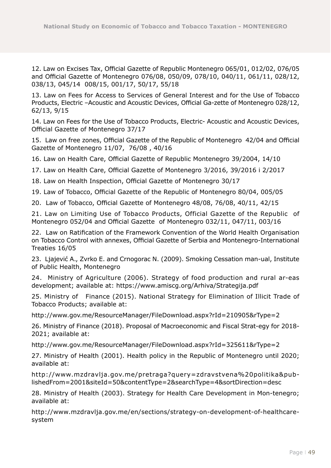12. Law on Excises Tax, Official Gazette of Republic Montenegro 065/01, 012/02, 076/05 and Official Gazette of Montenegro 076/08, 050/09, 078/10, 040/11, 061/11, 028/12, 038/13, 045/14 008/15, 001/17, 50/17, 55/18

13. Law on Fees for Access to Services of General Interest and for the Use of Tobacco Products, Electric –Acoustic and Acoustic Devices, Official Ga-zette of Montenegro 028/12, 62/13, 9/15

14. Law on Fees for the Use of Tobacco Products, Electric- Acoustic and Acoustic Devices, Official Gazette of Montenegro 37/17

15. Law on free zones, Official Gazette of the Republic of Montenegro 42/04 and Official Gazette of Montenegro 11/07, 76/08 , 40/16

16. Law on Health Care, Official Gazette of Republic Montenegro 39/2004, 14/10

17. Law on Health Care, Official Gazette of Montenegro 3/2016, 39/2016 i 2/2017

18. Law on Health Inspection, Official Gazette of Montenegro 30/17

19. Law of Tobacco, Official Gazette of the Republic of Montenegro 80/04, 005/05

20. Law of Tobacco, Official Gazette of Montenegro 48/08, 76/08, 40/11, 42/15

21. Law on Limiting Use of Tobacco Products, Official Gazette of the Republic of Montenegro 052/04 and Official Gazette of Montenegro 032/11, 047/11, 003/16

22. Law on Ratification of the Framework Convention of the World Health Organisation on Tobacco Control with annexes, Official Gazette of Serbia and Montenegro-International Treaties 16/05

23. Ljajević A., Zvrko E. and Crnogorac N. (2009). Smoking Cessation man-ual, Institute of Public Health, Montenegro

24. Ministry of Agriculture (2006). Strategy of food production and rural ar-eas development; available at: https://www.amiscg.org/Arhiva/Strategija.pdf

25. Ministry of Finance (2015). National Strategy for Elimination of Illicit Trade of Tobacco Products; available at:

http://www.gov.me/ResourceManager/FileDownload.aspx?rId=210905&rType=2

26. Ministry of Finance (2018). Proposal of Macroeconomic and Fiscal Strat-egy for 2018- 2021; available at:

http://www.gov.me/ResourceManager/FileDownload.aspx?rId=325611&rType=2

27. Ministry of Health (2001). Health policy in the Republic of Montenegro until 2020; available at:

http://www.mzdravlja.gov.me/pretraga?query=zdravstvena%20politika&publishedFrom=2001&siteId=50&contentType=2&searchType=4&sortDirection=desc

28. Ministry of Health (2003). Strategy for Health Care Development in Mon-tenegro; available at:

http://www.mzdravlja.gov.me/en/sections/strategy-on-development-of-healthcaresystem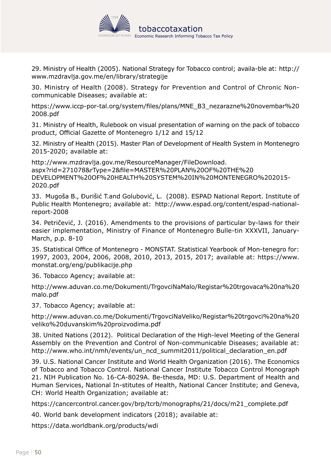

29. Ministry of Health (2005). National Strategy for Tobacco control; availa-ble at: http:// www.mzdravlja.gov.me/en/library/strategije

30. Ministry of Health (2008). Strategy for Prevention and Control of Chronic Noncommunicable Diseases; available at:

https://www.iccp-por-tal.org/system/files/plans/MNE\_B3\_nezarazne%20novembar%20 2008.pdf

31. Ministry of Health, Rulebook on visual presentation of warning on the pack of tobacco product, Official Gazette of Montenegro 1/12 and 15/12

32. Ministry of Health (2015). Master Plan of Development of Health System in Montenegro 2015-2020; available at:

http://www.mzdravlja.gov.me/ResourceManager/FileDownload. aspx?rid=271078&rType=2&file=MASTER%20PLAN%20OF%20THE%20 DEVELOPMENT%20OF%20HEALTH%20SYSTEM%20IN%20MONTENEGRO%202015- 2020.pdf

33. Mugoša B., Đurišić T.and Golubović, L. (2008). ESPAD National Report. Institute of Public Health Montenegro; available at: http://www.espad.org/content/espad-nationalreport-2008

34. Petričević, J. (2016). Amendments to the provisions of particular by-laws for their easier implementation, Ministry of Finance of Montenegro Bulle-tin XXXVII, January-March, p.p. 8-10

35. Statistical Office of Montenegro - MONSTAT. Statistical Yearbook of Mon-tenegro for: 1997, 2003, 2004, 2006, 2008, 2010, 2013, 2015, 2017; available at: https://www. monstat.org/eng/publikacije.php

36. Tobacco Agency; available at:

http://www.aduvan.co.me/Dokumenti/TrgovciNaMalo/Registar%20trgovaca%20na%20 malo.pdf

37. Tobacco Agency; available at:

http://www.aduvan.co.me/Dokumenti/TrgovciNaVeliko/Registar%20trgovci%20na%20 veliko%20duvanskim%20proizvodima.pdf

38. United Nations (2012). Political Declaration of the High-level Meeting of the General Assembly on the Prevention and Control of Non-communicable Diseases; available at: http://www.who.int/nmh/events/un\_ncd\_summit2011/political declaration en.pdf

39. U.S. National Cancer Institute and World Health Organization (2016). The Economics of Tobacco and Tobacco Control. National Cancer Institute Tobacco Control Monograph 21. NIH Publication No. 16-CA-8029A. Be-thesda, MD: U.S. Department of Health and Human Services, National In-stitutes of Health, National Cancer Institute; and Geneva, CH: World Health Organization; available at:

https://cancercontrol.cancer.gov/brp/tcrb/monographs/21/docs/m21\_complete.pdf

40. World bank development indicators (2018); available at:

https://data.worldbank.org/products/wdi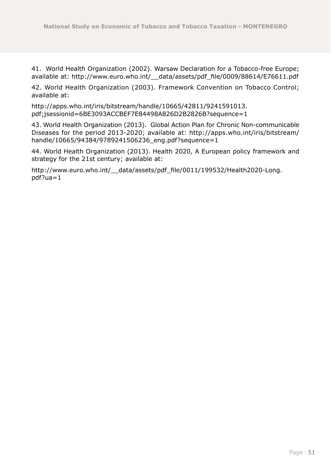41. World Health Organization (2002). Warsaw Declaration for a Tobacco-free Europe; available at: http://www.euro.who.int/\_\_data/assets/pdf\_file/0009/88614/E76611.pdf

42. World Health Organization (2003). Framework Convention on Tobacco Control; available at:

http://apps.who.int/iris/bitstream/handle/10665/42811/9241591013. pdf;jsessionid=6BE3093ACCBEF7E84498A826D2B2826B?sequence=1

43. World Health Organization (2013). Global Action Plan for Chronic Non-communicable Diseases for the period 2013-2020; available at: http://apps.who.int/iris/bitstream/ handle/10665/94384/9789241506236\_eng.pdf?sequence=1

44. World Health Organization (2013). Health 2020, A European policy framework and strategy for the 21st century; available at:

http://www.euro.who.int/ data/assets/pdf\_file/0011/199532/Health2020-Long. pdf?ua=1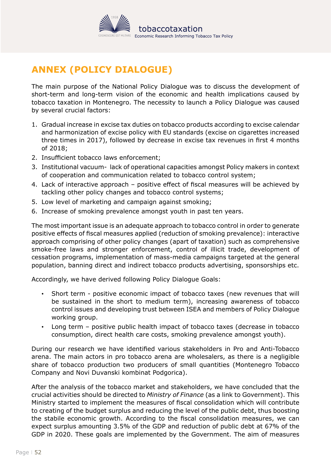

# <span id="page-51-0"></span>**ANNEX (POLICY DIALOGUE)**

The main purpose of the National Policy Dialogue was to discuss the development of short-term and long-term vision of the economic and health implications caused by tobacco taxation in Montenegro. The necessity to launch a Policy Dialogue was caused by several crucial factors:

- 1. Gradual increase in excise tax duties on tobacco products according to excise calendar and harmonization of excise policy with EU standards (excise on cigarettes increased three times in 2017), followed by decrease in excise tax revenues in first 4 months of 2018;
- 2. Insufficient tobacco laws enforcement;
- 3. Institutional vacuum- lack of operational capacities amongst Policy makers in context of cooperation and communication related to tobacco control system;
- 4. Lack of interactive approach positive effect of fiscal measures will be achieved by tackling other policy changes and tobacco control systems;
- 5. Low level of marketing and campaign against smoking;
- 6. Increase of smoking prevalence amongst youth in past ten years.

The most important issue is an adequate approach to tobacco control in order to generate positive effects of fiscal measures applied (reduction of smoking prevalence): interactive approach comprising of other policy changes (apart of taxation) such as comprehensive smoke-free laws and stronger enforcement, control of illicit trade, development of cessation programs, implementation of mass-media campaigns targeted at the general population, banning direct and indirect tobacco products advertising, sponsorships etc.

Accordingly, we have derived following Policy Dialogue Goals:

- Short term positive economic impact of tobacco taxes (new revenues that will be sustained in the short to medium term), increasing awareness of tobacco control issues and developing trust between ISEA and members of Policy Dialogue working group.
- Long term positive public health impact of tobacco taxes (decrease in tobacco consumption, direct health care costs, smoking prevalence amongst youth).

During our research we have identified various stakeholders in Pro and Anti-Tobacco arena. The main actors in pro tobacco arena are wholesalers, as there is a negligible share of tobacco production two producers of small quantities (Montenegro Tobacco Company and Novi Duvanski kombinat Podgorica).

After the analysis of the tobacco market and stakeholders, we have concluded that the crucial activities should be directed to *Ministry of Finance* (as a link to Government). This Ministry started to implement the measures of fiscal consolidation which will contribute to creating of the budget surplus and reducing the level of the public debt, thus boosting the stabile economic growth. According to the fiscal consolidation measures, we can expect surplus amounting 3.5% of the GDP and reduction of public debt at 67% of the GDP in 2020. These goals are implemented by the Government. The aim of measures